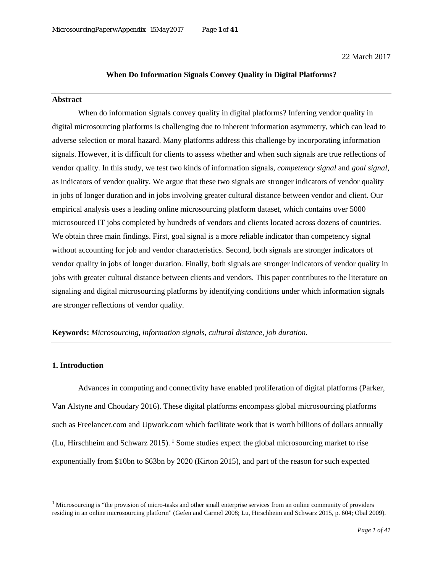22 March 2017

## **When Do Information Signals Convey Quality in Digital Platforms?**

## **Abstract**

When do information signals convey quality in digital platforms? Inferring vendor quality in digital microsourcing platforms is challenging due to inherent information asymmetry, which can lead to adverse selection or moral hazard. Many platforms address this challenge by incorporating information signals. However, it is difficult for clients to assess whether and when such signals are true reflections of vendor quality. In this study, we test two kinds of information signals, *competency signal* and *goal signal*, as indicators of vendor quality. We argue that these two signals are stronger indicators of vendor quality in jobs of longer duration and in jobs involving greater cultural distance between vendor and client. Our empirical analysis uses a leading online microsourcing platform dataset, which contains over 5000 microsourced IT jobs completed by hundreds of vendors and clients located across dozens of countries. We obtain three main findings. First, goal signal is a more reliable indicator than competency signal without accounting for job and vendor characteristics. Second, both signals are stronger indicators of vendor quality in jobs of longer duration. Finally, both signals are stronger indicators of vendor quality in jobs with greater cultural distance between clients and vendors. This paper contributes to the literature on signaling and digital microsourcing platforms by identifying conditions under which information signals are stronger reflections of vendor quality.

### **Keywords:** *Microsourcing, information signals, cultural distance, job duration.*

## **1. Introduction**

l

Advances in computing and connectivity have enabled proliferation of digital platforms (Parker, Van Alstyne and Choudary 2016). These digital platforms encompass global microsourcing platforms such as Freelancer.com and Upwork.com which facilitate work that is worth billions of dollars annually (Lu, Hirschheim and Schwarz 2015). [1](#page-0-0) Some studies expect the global microsourcing market to rise exponentially from \$10bn to \$63bn by 2020 (Kirton 2015), and part of the reason for such expected

<span id="page-0-0"></span><sup>&</sup>lt;sup>1</sup> Microsourcing is "the provision of micro-tasks and other small enterprise services from an online community of providers residing in an online microsourcing platform" (Gefen and Carmel 2008; Lu, Hirschheim and Schwarz 2015, p. 604; Obal 2009).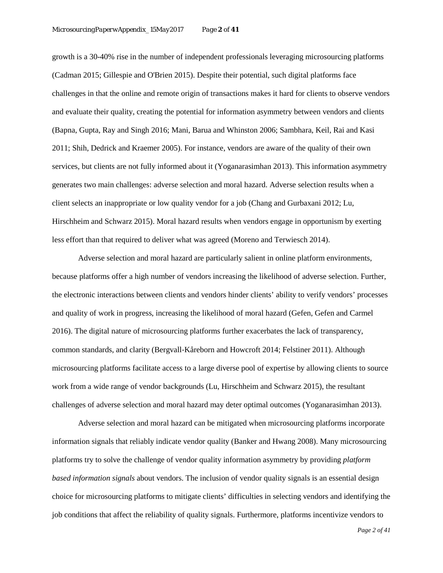growth is a 30-40% rise in the number of independent professionals leveraging microsourcing platforms (Cadman 2015; Gillespie and O'Brien 2015). Despite their potential, such digital platforms face challenges in that the online and remote origin of transactions makes it hard for clients to observe vendors and evaluate their quality, creating the potential for information asymmetry between vendors and clients (Bapna, Gupta, Ray and Singh 2016; Mani, Barua and Whinston 2006; Sambhara, Keil, Rai and Kasi 2011; Shih, Dedrick and Kraemer 2005). For instance, vendors are aware of the quality of their own services, but clients are not fully informed about it (Yoganarasimhan 2013). This information asymmetry generates two main challenges: adverse selection and moral hazard. Adverse selection results when a client selects an inappropriate or low quality vendor for a job (Chang and Gurbaxani 2012; Lu, Hirschheim and Schwarz 2015). Moral hazard results when vendors engage in opportunism by exerting less effort than that required to deliver what was agreed (Moreno and Terwiesch 2014).

Adverse selection and moral hazard are particularly salient in online platform environments, because platforms offer a high number of vendors increasing the likelihood of adverse selection. Further, the electronic interactions between clients and vendors hinder clients' ability to verify vendors' processes and quality of work in progress, increasing the likelihood of moral hazard (Gefen, Gefen and Carmel 2016). The digital nature of microsourcing platforms further exacerbates the lack of transparency, common standards, and clarity (Bergvall‐Kåreborn and Howcroft 2014; Felstiner 2011). Although microsourcing platforms facilitate access to a large diverse pool of expertise by allowing clients to source work from a wide range of vendor backgrounds (Lu, Hirschheim and Schwarz 2015), the resultant challenges of adverse selection and moral hazard may deter optimal outcomes (Yoganarasimhan 2013).

Adverse selection and moral hazard can be mitigated when microsourcing platforms incorporate information signals that reliably indicate vendor quality (Banker and Hwang 2008). Many microsourcing platforms try to solve the challenge of vendor quality information asymmetry by providing *platform based information signals* about vendors. The inclusion of vendor quality signals is an essential design choice for microsourcing platforms to mitigate clients' difficulties in selecting vendors and identifying the job conditions that affect the reliability of quality signals. Furthermore, platforms incentivize vendors to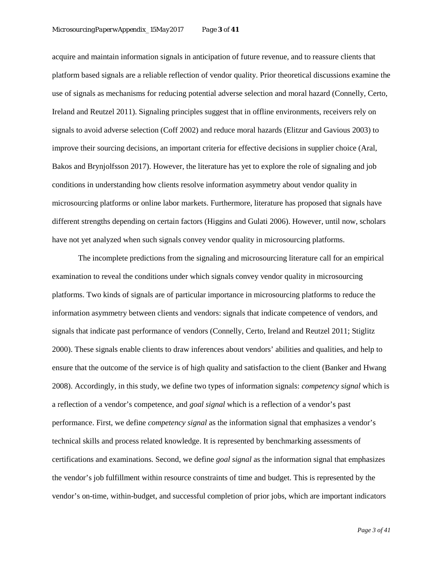acquire and maintain information signals in anticipation of future revenue, and to reassure clients that platform based signals are a reliable reflection of vendor quality. Prior theoretical discussions examine the use of signals as mechanisms for reducing potential adverse selection and moral hazard (Connelly, Certo, Ireland and Reutzel 2011). Signaling principles suggest that in offline environments, receivers rely on signals to avoid adverse selection (Coff 2002) and reduce moral hazards (Elitzur and Gavious 2003) to improve their sourcing decisions, an important criteria for effective decisions in supplier choice (Aral, Bakos and Brynjolfsson 2017). However, the literature has yet to explore the role of signaling and job conditions in understanding how clients resolve information asymmetry about vendor quality in microsourcing platforms or online labor markets. Furthermore, literature has proposed that signals have different strengths depending on certain factors (Higgins and Gulati 2006). However, until now, scholars have not yet analyzed when such signals convey vendor quality in microsourcing platforms.

The incomplete predictions from the signaling and microsourcing literature call for an empirical examination to reveal the conditions under which signals convey vendor quality in microsourcing platforms. Two kinds of signals are of particular importance in microsourcing platforms to reduce the information asymmetry between clients and vendors: signals that indicate competence of vendors, and signals that indicate past performance of vendors (Connelly, Certo, Ireland and Reutzel 2011; Stiglitz 2000). These signals enable clients to draw inferences about vendors' abilities and qualities, and help to ensure that the outcome of the service is of high quality and satisfaction to the client (Banker and Hwang 2008). Accordingly, in this study, we define two types of information signals: *competency signal* which is a reflection of a vendor's competence*,* and *goal signal* which is a reflection of a vendor's past performance. First, we define *competency signal* as the information signal that emphasizes a vendor's technical skills and process related knowledge. It is represented by benchmarking assessments of certifications and examinations*.* Second, we define *goal signal* as the information signal that emphasizes the vendor's job fulfillment within resource constraints of time and budget. This is represented by the vendor's on-time, within-budget, and successful completion of prior jobs, which are important indicators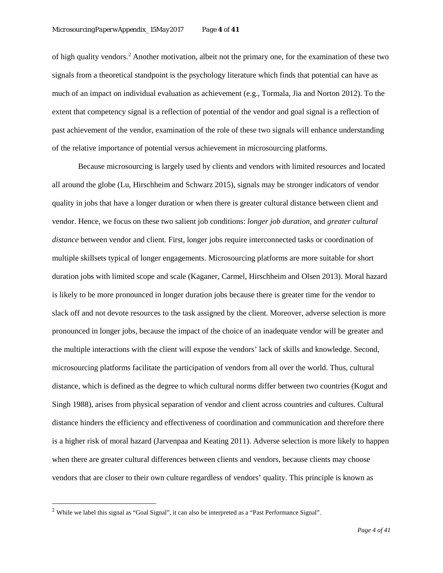of high quality vendors.[2](#page-3-0) Another motivation, albeit not the primary one, for the examination of these two signals from a theoretical standpoint is the psychology literature which finds that potential can have as much of an impact on individual evaluation as achievement (e.g., Tormala, Jia and Norton 2012). To the extent that competency signal is a reflection of potential of the vendor and goal signal is a reflection of past achievement of the vendor, examination of the role of these two signals will enhance understanding of the relative importance of potential versus achievement in microsourcing platforms.

Because microsourcing is largely used by clients and vendors with limited resources and located all around the globe (Lu, Hirschheim and Schwarz 2015), signals may be stronger indicators of vendor quality in jobs that have a longer duration or when there is greater cultural distance between client and vendor. Hence, we focus on these two salient job conditions: *longer job duration,* and *greater cultural distance* between vendor and client*.* First, longer jobs require interconnected tasks or coordination of multiple skillsets typical of longer engagements. Microsourcing platforms are more suitable for short duration jobs with limited scope and scale (Kaganer, Carmel, Hirschheim and Olsen 2013). Moral hazard is likely to be more pronounced in longer duration jobs because there is greater time for the vendor to slack off and not devote resources to the task assigned by the client. Moreover, adverse selection is more pronounced in longer jobs, because the impact of the choice of an inadequate vendor will be greater and the multiple interactions with the client will expose the vendors' lack of skills and knowledge. Second, microsourcing platforms facilitate the participation of vendors from all over the world. Thus, cultural distance, which is defined as the degree to which cultural norms differ between two countries (Kogut and Singh 1988), arises from physical separation of vendor and client across countries and cultures. Cultural distance hinders the efficiency and effectiveness of coordination and communication and therefore there is a higher risk of moral hazard (Jarvenpaa and Keating 2011). Adverse selection is more likely to happen when there are greater cultural differences between clients and vendors, because clients may choose vendors that are closer to their own culture regardless of vendors' quality. This principle is known as

l

<span id="page-3-0"></span><sup>2</sup> While we label this signal as "Goal Signal", it can also be interpreted as a "Past Performance Signal".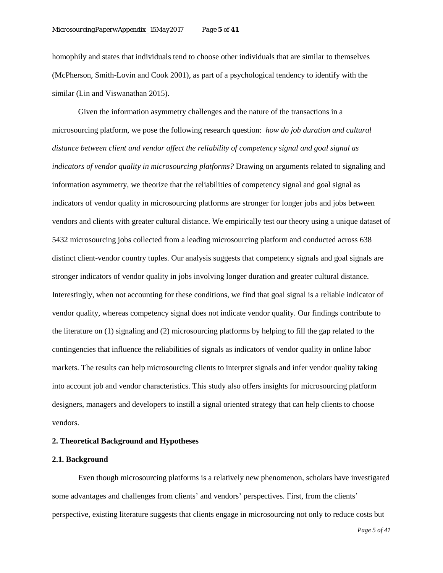homophily and states that individuals tend to choose other individuals that are similar to themselves (McPherson, Smith-Lovin and Cook 2001), as part of a psychological tendency to identify with the similar (Lin and Viswanathan 2015).

Given the information asymmetry challenges and the nature of the transactions in a microsourcing platform, we pose the following research question: *how do job duration and cultural distance between client and vendor affect the reliability of competency signal and goal signal as indicators of vendor quality in microsourcing platforms?* Drawing on arguments related to signaling and information asymmetry, we theorize that the reliabilities of competency signal and goal signal as indicators of vendor quality in microsourcing platforms are stronger for longer jobs and jobs between vendors and clients with greater cultural distance. We empirically test our theory using a unique dataset of 5432 microsourcing jobs collected from a leading microsourcing platform and conducted across 638 distinct client-vendor country tuples. Our analysis suggests that competency signals and goal signals are stronger indicators of vendor quality in jobs involving longer duration and greater cultural distance. Interestingly, when not accounting for these conditions, we find that goal signal is a reliable indicator of vendor quality, whereas competency signal does not indicate vendor quality. Our findings contribute to the literature on (1) signaling and (2) microsourcing platforms by helping to fill the gap related to the contingencies that influence the reliabilities of signals as indicators of vendor quality in online labor markets. The results can help microsourcing clients to interpret signals and infer vendor quality taking into account job and vendor characteristics. This study also offers insights for microsourcing platform designers, managers and developers to instill a signal oriented strategy that can help clients to choose vendors.

### **2. Theoretical Background and Hypotheses**

## **2.1. Background**

Even though microsourcing platforms is a relatively new phenomenon, scholars have investigated some advantages and challenges from clients' and vendors' perspectives. First, from the clients' perspective, existing literature suggests that clients engage in microsourcing not only to reduce costs but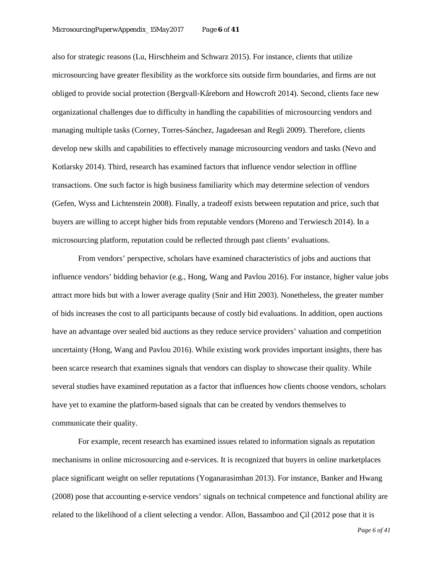also for strategic reasons (Lu, Hirschheim and Schwarz 2015). For instance, clients that utilize microsourcing have greater flexibility as the workforce sits outside firm boundaries, and firms are not obliged to provide social protection (Bergvall‐Kåreborn and Howcroft 2014). Second, clients face new organizational challenges due to difficulty in handling the capabilities of microsourcing vendors and managing multiple tasks (Corney, Torres-Sánchez, Jagadeesan and Regli 2009). Therefore, clients develop new skills and capabilities to effectively manage microsourcing vendors and tasks (Nevo and Kotlarsky 2014). Third, research has examined factors that influence vendor selection in offline transactions. One such factor is high business familiarity which may determine selection of vendors (Gefen, Wyss and Lichtenstein 2008). Finally, a tradeoff exists between reputation and price, such that buyers are willing to accept higher bids from reputable vendors (Moreno and Terwiesch 2014). In a microsourcing platform, reputation could be reflected through past clients' evaluations.

From vendors' perspective, scholars have examined characteristics of jobs and auctions that influence vendors' bidding behavior (e.g., Hong, Wang and Pavlou 2016). For instance, higher value jobs attract more bids but with a lower average quality (Snir and Hitt 2003). Nonetheless, the greater number of bids increases the cost to all participants because of costly bid evaluations. In addition, open auctions have an advantage over sealed bid auctions as they reduce service providers' valuation and competition uncertainty (Hong, Wang and Pavlou 2016). While existing work provides important insights, there has been scarce research that examines signals that vendors can display to showcase their quality. While several studies have examined reputation as a factor that influences how clients choose vendors, scholars have yet to examine the platform-based signals that can be created by vendors themselves to communicate their quality.

For example, recent research has examined issues related to information signals as reputation mechanisms in online microsourcing and e-services. It is recognized that buyers in online marketplaces place significant weight on seller reputations (Yoganarasimhan 2013). For instance, Banker and Hwang (2008) pose that accounting e-service vendors' signals on technical competence and functional ability are related to the likelihood of a client selecting a vendor. Allon, Bassamboo and Çil (2012 pose that it is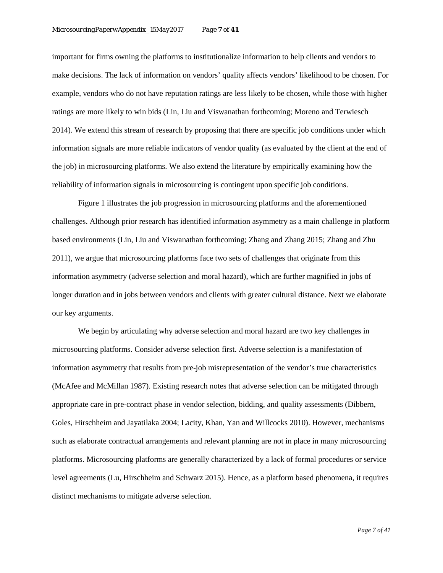important for firms owning the platforms to institutionalize information to help clients and vendors to make decisions. The lack of information on vendors' quality affects vendors' likelihood to be chosen. For example, vendors who do not have reputation ratings are less likely to be chosen, while those with higher ratings are more likely to win bids (Lin, Liu and Viswanathan forthcoming; Moreno and Terwiesch 2014). We extend this stream of research by proposing that there are specific job conditions under which information signals are more reliable indicators of vendor quality (as evaluated by the client at the end of the job) in microsourcing platforms. We also extend the literature by empirically examining how the reliability of information signals in microsourcing is contingent upon specific job conditions.

Figure 1 illustrates the job progression in microsourcing platforms and the aforementioned challenges. Although prior research has identified information asymmetry as a main challenge in platform based environments (Lin, Liu and Viswanathan forthcoming; Zhang and Zhang 2015; Zhang and Zhu 2011), we argue that microsourcing platforms face two sets of challenges that originate from this information asymmetry (adverse selection and moral hazard), which are further magnified in jobs of longer duration and in jobs between vendors and clients with greater cultural distance. Next we elaborate our key arguments.

We begin by articulating why adverse selection and moral hazard are two key challenges in microsourcing platforms. Consider adverse selection first. Adverse selection is a manifestation of information asymmetry that results from pre-job misrepresentation of the vendor's true characteristics (McAfee and McMillan 1987). Existing research notes that adverse selection can be mitigated through appropriate care in pre-contract phase in vendor selection, bidding, and quality assessments (Dibbern, Goles, Hirschheim and Jayatilaka 2004; Lacity, Khan, Yan and Willcocks 2010). However, mechanisms such as elaborate contractual arrangements and relevant planning are not in place in many microsourcing platforms. Microsourcing platforms are generally characterized by a lack of formal procedures or service level agreements (Lu, Hirschheim and Schwarz 2015). Hence, as a platform based phenomena, it requires distinct mechanisms to mitigate adverse selection.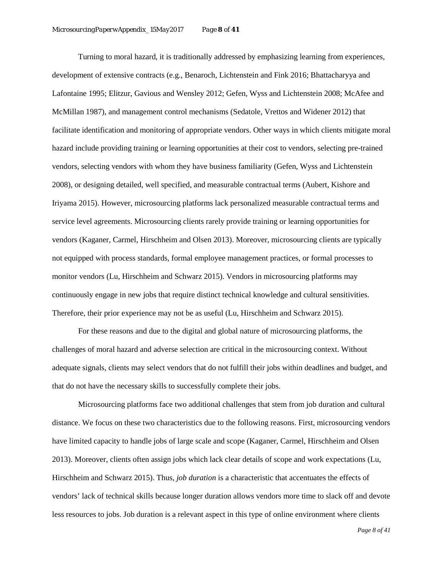Turning to moral hazard, it is traditionally addressed by emphasizing learning from experiences, development of extensive contracts (e.g., Benaroch, Lichtenstein and Fink 2016; Bhattacharyya and Lafontaine 1995; Elitzur, Gavious and Wensley 2012; Gefen, Wyss and Lichtenstein 2008; McAfee and McMillan 1987), and management control mechanisms (Sedatole, Vrettos and Widener 2012) that facilitate identification and monitoring of appropriate vendors. Other ways in which clients mitigate moral hazard include providing training or learning opportunities at their cost to vendors, selecting pre-trained vendors, selecting vendors with whom they have business familiarity (Gefen, Wyss and Lichtenstein 2008), or designing detailed, well specified, and measurable contractual terms (Aubert, Kishore and Iriyama 2015). However, microsourcing platforms lack personalized measurable contractual terms and service level agreements. Microsourcing clients rarely provide training or learning opportunities for vendors (Kaganer, Carmel, Hirschheim and Olsen 2013). Moreover, microsourcing clients are typically not equipped with process standards, formal employee management practices, or formal processes to monitor vendors (Lu, Hirschheim and Schwarz 2015). Vendors in microsourcing platforms may continuously engage in new jobs that require distinct technical knowledge and cultural sensitivities. Therefore, their prior experience may not be as useful (Lu, Hirschheim and Schwarz 2015).

For these reasons and due to the digital and global nature of microsourcing platforms, the challenges of moral hazard and adverse selection are critical in the microsourcing context. Without adequate signals, clients may select vendors that do not fulfill their jobs within deadlines and budget, and that do not have the necessary skills to successfully complete their jobs.

Microsourcing platforms face two additional challenges that stem from job duration and cultural distance. We focus on these two characteristics due to the following reasons. First, microsourcing vendors have limited capacity to handle jobs of large scale and scope (Kaganer, Carmel, Hirschheim and Olsen 2013). Moreover, clients often assign jobs which lack clear details of scope and work expectations (Lu, Hirschheim and Schwarz 2015). Thus, *job duration* is a characteristic that accentuates the effects of vendors' lack of technical skills because longer duration allows vendors more time to slack off and devote less resources to jobs. Job duration is a relevant aspect in this type of online environment where clients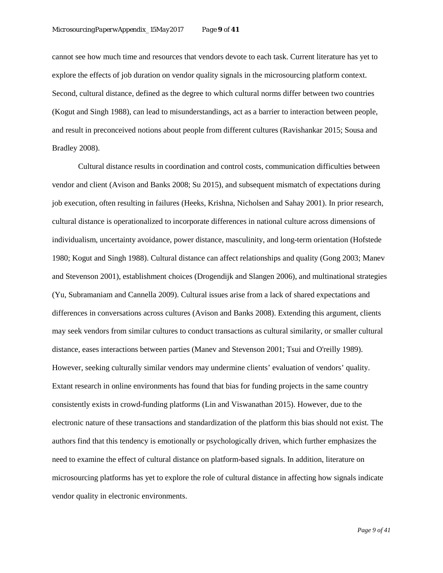cannot see how much time and resources that vendors devote to each task. Current literature has yet to explore the effects of job duration on vendor quality signals in the microsourcing platform context. Second, cultural distance, defined as the degree to which cultural norms differ between two countries (Kogut and Singh 1988), can lead to misunderstandings, act as a barrier to interaction between people, and result in preconceived notions about people from different cultures (Ravishankar 2015; Sousa and Bradley 2008).

Cultural distance results in coordination and control costs, communication difficulties between vendor and client (Avison and Banks 2008; Su 2015), and subsequent mismatch of expectations during job execution, often resulting in failures (Heeks, Krishna, Nicholsen and Sahay 2001). In prior research, cultural distance is operationalized to incorporate differences in national culture across dimensions of individualism, uncertainty avoidance, power distance, masculinity, and long-term orientation (Hofstede 1980; Kogut and Singh 1988). Cultural distance can affect relationships and quality (Gong 2003; Manev and Stevenson 2001), establishment choices (Drogendijk and Slangen 2006), and multinational strategies (Yu, Subramaniam and Cannella 2009). Cultural issues arise from a lack of shared expectations and differences in conversations across cultures (Avison and Banks 2008). Extending this argument, clients may seek vendors from similar cultures to conduct transactions as cultural similarity, or smaller cultural distance, eases interactions between parties (Manev and Stevenson 2001; Tsui and O'reilly 1989). However, seeking culturally similar vendors may undermine clients' evaluation of vendors' quality. Extant research in online environments has found that bias for funding projects in the same country consistently exists in crowd-funding platforms (Lin and Viswanathan 2015). However, due to the electronic nature of these transactions and standardization of the platform this bias should not exist. The authors find that this tendency is emotionally or psychologically driven, which further emphasizes the need to examine the effect of cultural distance on platform-based signals. In addition, literature on microsourcing platforms has yet to explore the role of cultural distance in affecting how signals indicate vendor quality in electronic environments.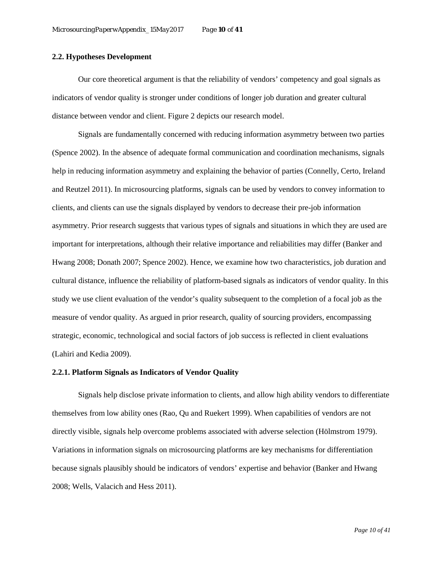## **2.2. Hypotheses Development**

Our core theoretical argument is that the reliability of vendors' competency and goal signals as indicators of vendor quality is stronger under conditions of longer job duration and greater cultural distance between vendor and client. Figure 2 depicts our research model.

Signals are fundamentally concerned with reducing information asymmetry between two parties (Spence 2002). In the absence of adequate formal communication and coordination mechanisms, signals help in reducing information asymmetry and explaining the behavior of parties (Connelly, Certo, Ireland and Reutzel 2011). In microsourcing platforms, signals can be used by vendors to convey information to clients, and clients can use the signals displayed by vendors to decrease their pre-job information asymmetry. Prior research suggests that various types of signals and situations in which they are used are important for interpretations, although their relative importance and reliabilities may differ (Banker and Hwang 2008; Donath 2007; Spence 2002). Hence, we examine how two characteristics, job duration and cultural distance, influence the reliability of platform-based signals as indicators of vendor quality. In this study we use client evaluation of the vendor's quality subsequent to the completion of a focal job as the measure of vendor quality. As argued in prior research, quality of sourcing providers, encompassing strategic, economic, technological and social factors of job success is reflected in client evaluations (Lahiri and Kedia 2009).

### **2.2.1. Platform Signals as Indicators of Vendor Quality**

Signals help disclose private information to clients, and allow high ability vendors to differentiate themselves from low ability ones (Rao, Qu and Ruekert 1999). When capabilities of vendors are not directly visible, signals help overcome problems associated with adverse selection (Hölmstrom 1979). Variations in information signals on microsourcing platforms are key mechanisms for differentiation because signals plausibly should be indicators of vendors' expertise and behavior (Banker and Hwang 2008; Wells, Valacich and Hess 2011).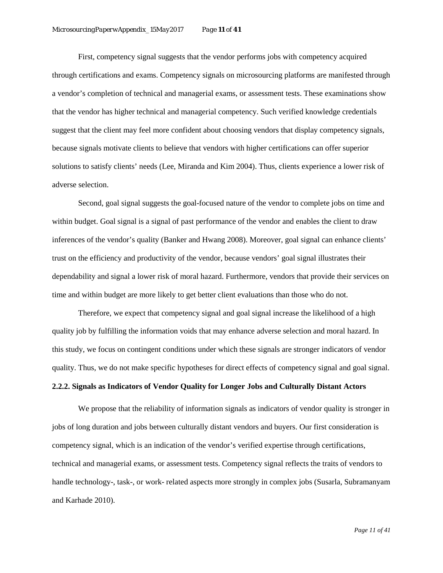First, competency signal suggests that the vendor performs jobs with competency acquired through certifications and exams. Competency signals on microsourcing platforms are manifested through a vendor's completion of technical and managerial exams, or assessment tests. These examinations show that the vendor has higher technical and managerial competency. Such verified knowledge credentials suggest that the client may feel more confident about choosing vendors that display competency signals, because signals motivate clients to believe that vendors with higher certifications can offer superior solutions to satisfy clients' needs (Lee, Miranda and Kim 2004). Thus, clients experience a lower risk of adverse selection.

Second, goal signal suggests the goal-focused nature of the vendor to complete jobs on time and within budget. Goal signal is a signal of past performance of the vendor and enables the client to draw inferences of the vendor's quality (Banker and Hwang 2008). Moreover, goal signal can enhance clients' trust on the efficiency and productivity of the vendor, because vendors' goal signal illustrates their dependability and signal a lower risk of moral hazard. Furthermore, vendors that provide their services on time and within budget are more likely to get better client evaluations than those who do not.

Therefore, we expect that competency signal and goal signal increase the likelihood of a high quality job by fulfilling the information voids that may enhance adverse selection and moral hazard. In this study, we focus on contingent conditions under which these signals are stronger indicators of vendor quality. Thus, we do not make specific hypotheses for direct effects of competency signal and goal signal.

## **2.2.2. Signals as Indicators of Vendor Quality for Longer Jobs and Culturally Distant Actors**

We propose that the reliability of information signals as indicators of vendor quality is stronger in jobs of long duration and jobs between culturally distant vendors and buyers. Our first consideration is competency signal, which is an indication of the vendor's verified expertise through certifications, technical and managerial exams, or assessment tests. Competency signal reflects the traits of vendors to handle technology-, task-, or work- related aspects more strongly in complex jobs (Susarla, Subramanyam and Karhade 2010).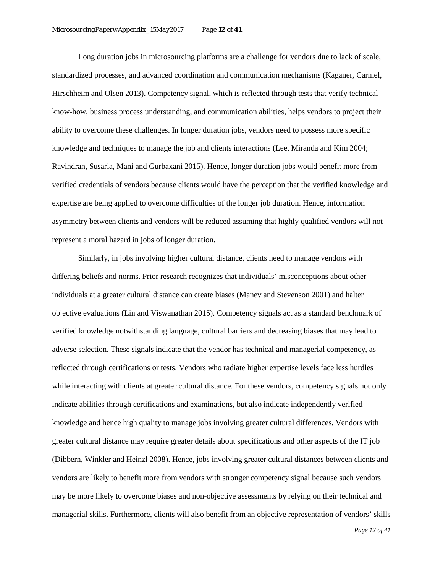Long duration jobs in microsourcing platforms are a challenge for vendors due to lack of scale, standardized processes, and advanced coordination and communication mechanisms (Kaganer, Carmel, Hirschheim and Olsen 2013). Competency signal, which is reflected through tests that verify technical know-how, business process understanding, and communication abilities, helps vendors to project their ability to overcome these challenges. In longer duration jobs, vendors need to possess more specific knowledge and techniques to manage the job and clients interactions (Lee, Miranda and Kim 2004; Ravindran, Susarla, Mani and Gurbaxani 2015). Hence, longer duration jobs would benefit more from verified credentials of vendors because clients would have the perception that the verified knowledge and expertise are being applied to overcome difficulties of the longer job duration. Hence, information asymmetry between clients and vendors will be reduced assuming that highly qualified vendors will not represent a moral hazard in jobs of longer duration.

Similarly, in jobs involving higher cultural distance, clients need to manage vendors with differing beliefs and norms. Prior research recognizes that individuals' misconceptions about other individuals at a greater cultural distance can create biases (Manev and Stevenson 2001) and halter objective evaluations (Lin and Viswanathan 2015). Competency signals act as a standard benchmark of verified knowledge notwithstanding language, cultural barriers and decreasing biases that may lead to adverse selection. These signals indicate that the vendor has technical and managerial competency, as reflected through certifications or tests. Vendors who radiate higher expertise levels face less hurdles while interacting with clients at greater cultural distance. For these vendors, competency signals not only indicate abilities through certifications and examinations, but also indicate independently verified knowledge and hence high quality to manage jobs involving greater cultural differences. Vendors with greater cultural distance may require greater details about specifications and other aspects of the IT job (Dibbern, Winkler and Heinzl 2008). Hence, jobs involving greater cultural distances between clients and vendors are likely to benefit more from vendors with stronger competency signal because such vendors may be more likely to overcome biases and non-objective assessments by relying on their technical and managerial skills. Furthermore, clients will also benefit from an objective representation of vendors' skills

 *Page 12 of 41*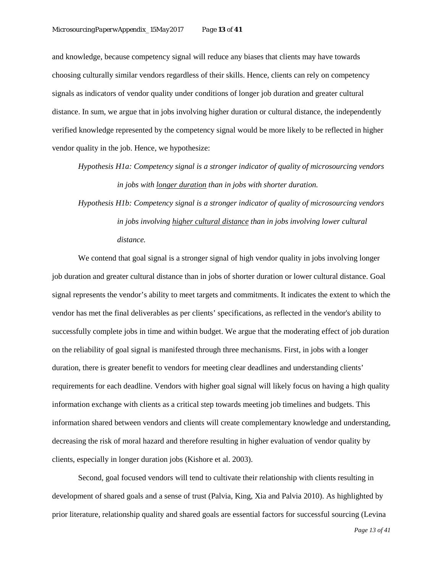and knowledge, because competency signal will reduce any biases that clients may have towards choosing culturally similar vendors regardless of their skills. Hence, clients can rely on competency signals as indicators of vendor quality under conditions of longer job duration and greater cultural distance. In sum, we argue that in jobs involving higher duration or cultural distance, the independently verified knowledge represented by the competency signal would be more likely to be reflected in higher vendor quality in the job. Hence, we hypothesize:

*Hypothesis H1a: Competency signal is a stronger indicator of quality of microsourcing vendors in jobs with longer duration than in jobs with shorter duration.*

*Hypothesis H1b: Competency signal is a stronger indicator of quality of microsourcing vendors in jobs involving higher cultural distance than in jobs involving lower cultural distance.*

We contend that goal signal is a stronger signal of high vendor quality in jobs involving longer job duration and greater cultural distance than in jobs of shorter duration or lower cultural distance. Goal signal represents the vendor's ability to meet targets and commitments. It indicates the extent to which the vendor has met the final deliverables as per clients' specifications, as reflected in the vendor's ability to successfully complete jobs in time and within budget. We argue that the moderating effect of job duration on the reliability of goal signal is manifested through three mechanisms. First, in jobs with a longer duration, there is greater benefit to vendors for meeting clear deadlines and understanding clients' requirements for each deadline. Vendors with higher goal signal will likely focus on having a high quality information exchange with clients as a critical step towards meeting job timelines and budgets. This information shared between vendors and clients will create complementary knowledge and understanding, decreasing the risk of moral hazard and therefore resulting in higher evaluation of vendor quality by clients, especially in longer duration jobs (Kishore et al. 2003).

Second, goal focused vendors will tend to cultivate their relationship with clients resulting in development of shared goals and a sense of trust (Palvia, King, Xia and Palvia 2010). As highlighted by prior literature, relationship quality and shared goals are essential factors for successful sourcing (Levina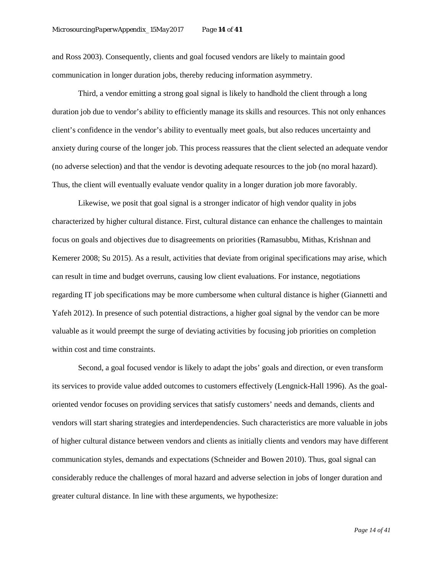and Ross 2003). Consequently, clients and goal focused vendors are likely to maintain good communication in longer duration jobs, thereby reducing information asymmetry.

Third, a vendor emitting a strong goal signal is likely to handhold the client through a long duration job due to vendor's ability to efficiently manage its skills and resources. This not only enhances client's confidence in the vendor's ability to eventually meet goals, but also reduces uncertainty and anxiety during course of the longer job. This process reassures that the client selected an adequate vendor (no adverse selection) and that the vendor is devoting adequate resources to the job (no moral hazard). Thus, the client will eventually evaluate vendor quality in a longer duration job more favorably.

Likewise, we posit that goal signal is a stronger indicator of high vendor quality in jobs characterized by higher cultural distance. First, cultural distance can enhance the challenges to maintain focus on goals and objectives due to disagreements on priorities (Ramasubbu, Mithas, Krishnan and Kemerer 2008; Su 2015). As a result, activities that deviate from original specifications may arise, which can result in time and budget overruns, causing low client evaluations. For instance, negotiations regarding IT job specifications may be more cumbersome when cultural distance is higher (Giannetti and Yafeh 2012). In presence of such potential distractions, a higher goal signal by the vendor can be more valuable as it would preempt the surge of deviating activities by focusing job priorities on completion within cost and time constraints.

Second, a goal focused vendor is likely to adapt the jobs' goals and direction, or even transform its services to provide value added outcomes to customers effectively (Lengnick-Hall 1996). As the goaloriented vendor focuses on providing services that satisfy customers' needs and demands, clients and vendors will start sharing strategies and interdependencies. Such characteristics are more valuable in jobs of higher cultural distance between vendors and clients as initially clients and vendors may have different communication styles, demands and expectations (Schneider and Bowen 2010). Thus, goal signal can considerably reduce the challenges of moral hazard and adverse selection in jobs of longer duration and greater cultural distance. In line with these arguments, we hypothesize: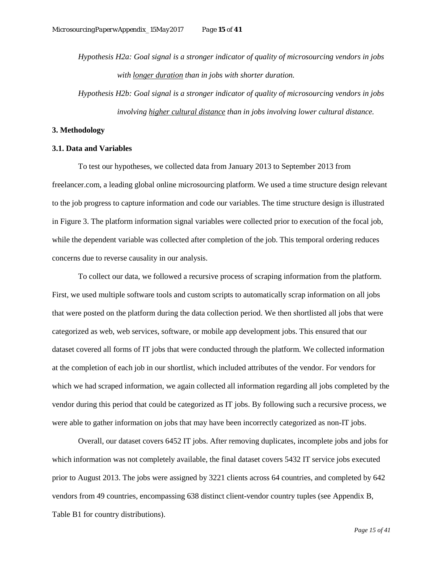*Hypothesis H2a: Goal signal is a stronger indicator of quality of microsourcing vendors in jobs with longer duration than in jobs with shorter duration.*

*Hypothesis H2b: Goal signal is a stronger indicator of quality of microsourcing vendors in jobs involving higher cultural distance than in jobs involving lower cultural distance.*

#### **3. Methodology**

#### **3.1. Data and Variables**

To test our hypotheses, we collected data from January 2013 to September 2013 from freelancer.com, a leading global online microsourcing platform. We used a time structure design relevant to the job progress to capture information and code our variables. The time structure design is illustrated in Figure 3. The platform information signal variables were collected prior to execution of the focal job, while the dependent variable was collected after completion of the job. This temporal ordering reduces concerns due to reverse causality in our analysis.

To collect our data, we followed a recursive process of scraping information from the platform. First, we used multiple software tools and custom scripts to automatically scrap information on all jobs that were posted on the platform during the data collection period. We then shortlisted all jobs that were categorized as web, web services, software, or mobile app development jobs. This ensured that our dataset covered all forms of IT jobs that were conducted through the platform. We collected information at the completion of each job in our shortlist, which included attributes of the vendor. For vendors for which we had scraped information, we again collected all information regarding all jobs completed by the vendor during this period that could be categorized as IT jobs. By following such a recursive process, we were able to gather information on jobs that may have been incorrectly categorized as non-IT jobs.

Overall, our dataset covers 6452 IT jobs. After removing duplicates, incomplete jobs and jobs for which information was not completely available, the final dataset covers 5432 IT service jobs executed prior to August 2013. The jobs were assigned by 3221 clients across 64 countries, and completed by 642 vendors from 49 countries, encompassing 638 distinct client-vendor country tuples (see Appendix B, Table B1 for country distributions).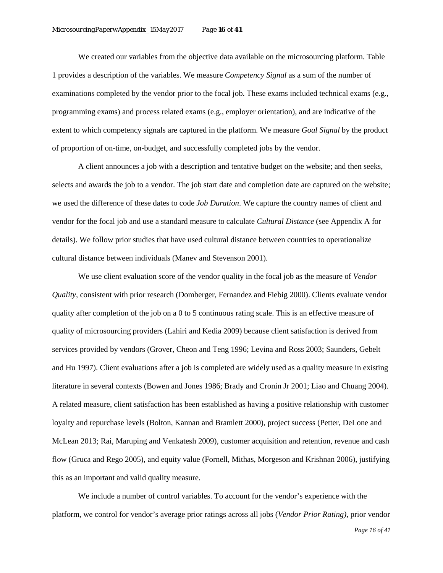We created our variables from the objective data available on the microsourcing platform. Table 1 provides a description of the variables. We measure *Competency Signal* as a sum of the number of examinations completed by the vendor prior to the focal job. These exams included technical exams (e.g., programming exams) and process related exams (e.g., employer orientation), and are indicative of the extent to which competency signals are captured in the platform. We measure *Goal Signal* by the product of proportion of on-time, on-budget, and successfully completed jobs by the vendor.

A client announces a job with a description and tentative budget on the website; and then seeks, selects and awards the job to a vendor. The job start date and completion date are captured on the website; we used the difference of these dates to code *Job Duration*. We capture the country names of client and vendor for the focal job and use a standard measure to calculate *Cultural Distance* (see Appendix A for details). We follow prior studies that have used cultural distance between countries to operationalize cultural distance between individuals (Manev and Stevenson 2001).

We use client evaluation score of the vendor quality in the focal job as the measure of *Vendor Quality*, consistent with prior research (Domberger, Fernandez and Fiebig 2000). Clients evaluate vendor quality after completion of the job on a 0 to 5 continuous rating scale. This is an effective measure of quality of microsourcing providers (Lahiri and Kedia 2009) because client satisfaction is derived from services provided by vendors (Grover, Cheon and Teng 1996; Levina and Ross 2003; Saunders, Gebelt and Hu 1997). Client evaluations after a job is completed are widely used as a quality measure in existing literature in several contexts (Bowen and Jones 1986; Brady and Cronin Jr 2001; Liao and Chuang 2004). A related measure, client satisfaction has been established as having a positive relationship with customer loyalty and repurchase levels (Bolton, Kannan and Bramlett 2000), project success (Petter, DeLone and McLean 2013; Rai, Maruping and Venkatesh 2009), customer acquisition and retention, revenue and cash flow (Gruca and Rego 2005), and equity value (Fornell, Mithas, Morgeson and Krishnan 2006), justifying this as an important and valid quality measure.

We include a number of control variables. To account for the vendor's experience with the platform, we control for vendor's average prior ratings across all jobs (*Vendor Prior Rating)*, prior vendor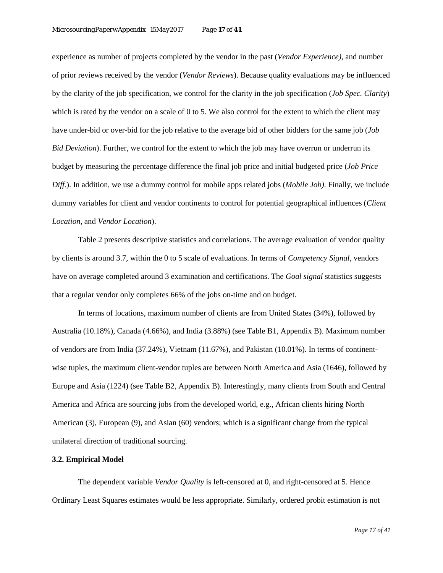experience as number of projects completed by the vendor in the past (*Vendor Experience)*, and number of prior reviews received by the vendor (*Vendor Reviews*). Because quality evaluations may be influenced by the clarity of the job specification, we control for the clarity in the job specification (*Job Spec. Clarity*) which is rated by the vendor on a scale of 0 to 5. We also control for the extent to which the client may have under-bid or over-bid for the job relative to the average bid of other bidders for the same job (*Job Bid Deviation*). Further, we control for the extent to which the job may have overrun or underrun its budget by measuring the percentage difference the final job price and initial budgeted price (*Job Price Diff.*). In addition, we use a dummy control for mobile apps related jobs (*Mobile Job)*. Finally, we include dummy variables for client and vendor continents to control for potential geographical influences (*Client Location,* and *Vendor Location*).

Table 2 presents descriptive statistics and correlations. The average evaluation of vendor quality by clients is around 3.7, within the 0 to 5 scale of evaluations. In terms of *Competency Signal*, vendors have on average completed around 3 examination and certifications. The *Goal signal* statistics suggests that a regular vendor only completes 66% of the jobs on-time and on budget.

In terms of locations, maximum number of clients are from United States (34%), followed by Australia (10.18%), Canada (4.66%), and India (3.88%) (see Table B1, Appendix B). Maximum number of vendors are from India (37.24%), Vietnam (11.67%), and Pakistan (10.01%). In terms of continentwise tuples, the maximum client-vendor tuples are between North America and Asia (1646), followed by Europe and Asia (1224) (see Table B2, Appendix B). Interestingly, many clients from South and Central America and Africa are sourcing jobs from the developed world, e.g., African clients hiring North American (3), European (9), and Asian (60) vendors; which is a significant change from the typical unilateral direction of traditional sourcing.

## **3.2. Empirical Model**

The dependent variable *Vendor Quality* is left-censored at 0, and right-censored at 5. Hence Ordinary Least Squares estimates would be less appropriate. Similarly, ordered probit estimation is not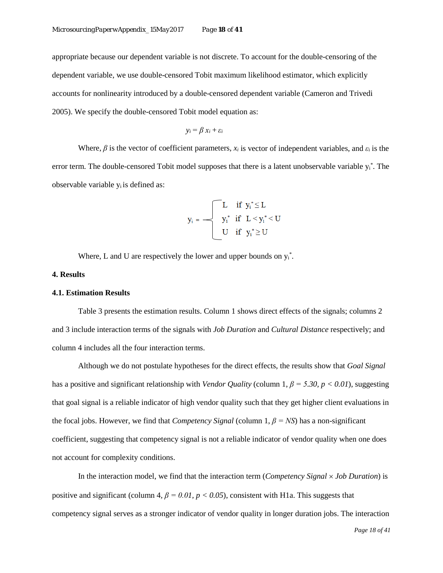appropriate because our dependent variable is not discrete. To account for the double-censoring of the dependent variable, we use double-censored Tobit maximum likelihood estimator, which explicitly accounts for nonlinearity introduced by a double-censored dependent variable (Cameron and Trivedi 2005). We specify the double-censored Tobit model equation as:

$$
y_i = \beta x_i + \varepsilon_i
$$

Where,  $\beta$  is the vector of coefficient parameters,  $x_i$  is vector of independent variables, and  $\varepsilon_i$  is the error term. The double-censored Tobit model supposes that there is a latent unobservable variable y<sub>i</sub><sup>\*</sup>. The observable variable  $y_i$  is defined as:

$$
y_i = \begin{cases} \begin{aligned} &L \quad \text{if} \;\; y_i^* \!\leq\! L \\ &y_i^* \;\; \text{if} \;\; L \!<\! y_i^* \!<\! U \\ &U \quad \text{if} \;\; y_i^* \!\geq\! U \end{aligned} \end{cases}
$$

Where, L and U are respectively the lower and upper bounds on  $y_i^*$ .

#### **4. Results**

#### **4.1. Estimation Results**

Table 3 presents the estimation results. Column 1 shows direct effects of the signals; columns 2 and 3 include interaction terms of the signals with *Job Duration* and *Cultural Distance* respectively; and column 4 includes all the four interaction terms.

Although we do not postulate hypotheses for the direct effects, the results show that *Goal Signal* has a positive and significant relationship with *Vendor Quality* (column 1, *β = 5.30, p < 0.01*), suggesting that goal signal is a reliable indicator of high vendor quality such that they get higher client evaluations in the focal jobs. However, we find that *Competency Signal* (column 1, *β = NS*) has a non-significant coefficient, suggesting that competency signal is not a reliable indicator of vendor quality when one does not account for complexity conditions.

In the interaction model, we find that the interaction term (*Competency Signal* × *Job Duration*) is positive and significant (column 4,  $\beta = 0.01$ ,  $p < 0.05$ ), consistent with H1a. This suggests that competency signal serves as a stronger indicator of vendor quality in longer duration jobs. The interaction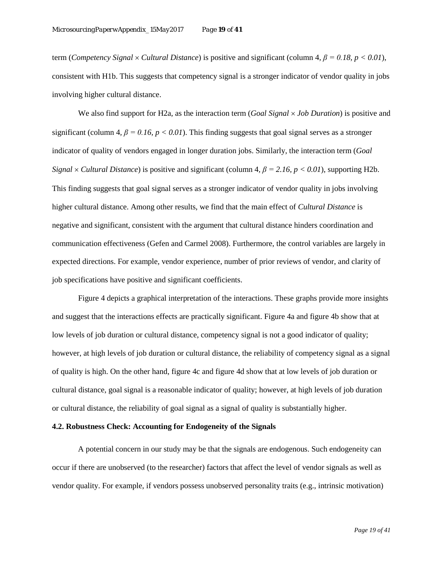term (*Competency Signal* × *Cultural Distance*) is positive and significant (column 4*, β = 0.18, p < 0.01*), consistent with H1b. This suggests that competency signal is a stronger indicator of vendor quality in jobs involving higher cultural distance.

We also find support for H2a, as the interaction term (*Goal Signal* × *Job Duration*) is positive and significant (column 4,  $\beta = 0.16$ ,  $p < 0.01$ ). This finding suggests that goal signal serves as a stronger indicator of quality of vendors engaged in longer duration jobs. Similarly, the interaction term (*Goal Signal*  $\times$  *Cultural Distance*) is positive and significant (column 4,  $\beta$  = 2.16, p < 0.01), supporting H2b. This finding suggests that goal signal serves as a stronger indicator of vendor quality in jobs involving higher cultural distance. Among other results, we find that the main effect of *Cultural Distance* is negative and significant, consistent with the argument that cultural distance hinders coordination and communication effectiveness (Gefen and Carmel 2008). Furthermore, the control variables are largely in expected directions. For example, vendor experience, number of prior reviews of vendor, and clarity of job specifications have positive and significant coefficients.

Figure 4 depicts a graphical interpretation of the interactions. These graphs provide more insights and suggest that the interactions effects are practically significant. Figure 4a and figure 4b show that at low levels of job duration or cultural distance, competency signal is not a good indicator of quality; however, at high levels of job duration or cultural distance, the reliability of competency signal as a signal of quality is high. On the other hand, figure 4c and figure 4d show that at low levels of job duration or cultural distance, goal signal is a reasonable indicator of quality; however, at high levels of job duration or cultural distance, the reliability of goal signal as a signal of quality is substantially higher.

### **4.2. Robustness Check: Accounting for Endogeneity of the Signals**

A potential concern in our study may be that the signals are endogenous. Such endogeneity can occur if there are unobserved (to the researcher) factors that affect the level of vendor signals as well as vendor quality. For example, if vendors possess unobserved personality traits (e.g., intrinsic motivation)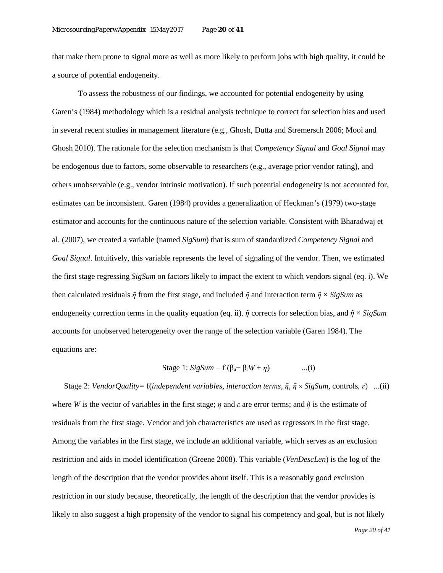that make them prone to signal more as well as more likely to perform jobs with high quality, it could be a source of potential endogeneity.

To assess the robustness of our findings, we accounted for potential endogeneity by using Garen's (1984) methodology which is a residual analysis technique to correct for selection bias and used in several recent studies in management literature (e.g., Ghosh, Dutta and Stremersch 2006; Mooi and Ghosh 2010). The rationale for the selection mechanism is that *Competency Signal* and *Goal Signal* may be endogenous due to factors, some observable to researchers (e.g., average prior vendor rating), and others unobservable (e.g., vendor intrinsic motivation). If such potential endogeneity is not accounted for, estimates can be inconsistent. Garen (1984) provides a generalization of Heckman's (1979) two-stage estimator and accounts for the continuous nature of the selection variable. Consistent with Bharadwaj et al. (2007), we created a variable (named *SigSum*) that is sum of standardized *Competency Signal* and *Goal Signal*. Intuitively, this variable represents the level of signaling of the vendor. Then, we estimated the first stage regressing *SigSum* on factors likely to impact the extent to which vendors signal (eq. i). We then calculated residuals  $\tilde{\eta}$  from the first stage, and included  $\tilde{\eta}$  and interaction term  $\tilde{\eta} \times SigSum$  as endogeneity correction terms in the quality equation (eq. ii). *ῆ* corrects for selection bias, and *ῆ* × *SigSum* accounts for unobserved heterogeneity over the range of the selection variable (Garen 1984). The equations are:

Stage 1: 
$$
SigSum = f(\beta_a + \beta_r W + \eta)
$$
...(i)

 Stage 2: *VendorQuality=* f(*independent variables, interaction terms, ῆ*, *ῆ* × *SigSum,* controls*, ε*) ...(ii) where *W* is the vector of variables in the first stage; *η* and *ε* are error terms; and *ῆ* is the estimate of residuals from the first stage. Vendor and job characteristics are used as regressors in the first stage. Among the variables in the first stage, we include an additional variable, which serves as an exclusion restriction and aids in model identification (Greene 2008). This variable (*VenDescLen*) is the log of the length of the description that the vendor provides about itself. This is a reasonably good exclusion restriction in our study because, theoretically, the length of the description that the vendor provides is likely to also suggest a high propensity of the vendor to signal his competency and goal, but is not likely

 *Page 20 of 41*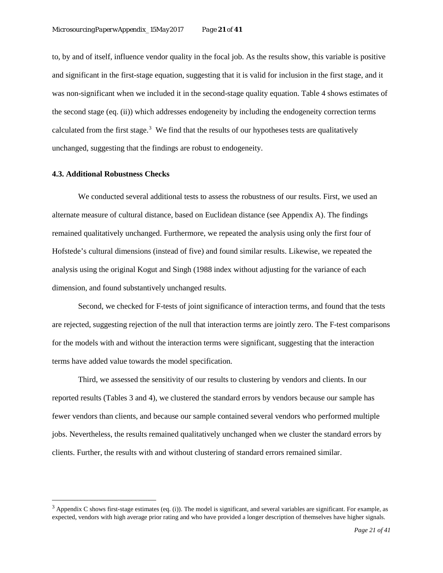to, by and of itself, influence vendor quality in the focal job. As the results show, this variable is positive and significant in the first-stage equation, suggesting that it is valid for inclusion in the first stage, and it was non-significant when we included it in the second-stage quality equation. Table 4 shows estimates of the second stage (eq. (ii)) which addresses endogeneity by including the endogeneity correction terms calculated from the first stage. $3$  We find that the results of our hypotheses tests are qualitatively unchanged, suggesting that the findings are robust to endogeneity.

#### **4.3. Additional Robustness Checks**

l

We conducted several additional tests to assess the robustness of our results. First, we used an alternate measure of cultural distance, based on Euclidean distance (see Appendix A). The findings remained qualitatively unchanged. Furthermore, we repeated the analysis using only the first four of Hofstede's cultural dimensions (instead of five) and found similar results. Likewise, we repeated the analysis using the original Kogut and Singh (1988 index without adjusting for the variance of each dimension, and found substantively unchanged results.

Second, we checked for F-tests of joint significance of interaction terms, and found that the tests are rejected, suggesting rejection of the null that interaction terms are jointly zero. The F-test comparisons for the models with and without the interaction terms were significant, suggesting that the interaction terms have added value towards the model specification.

Third, we assessed the sensitivity of our results to clustering by vendors and clients. In our reported results (Tables 3 and 4), we clustered the standard errors by vendors because our sample has fewer vendors than clients, and because our sample contained several vendors who performed multiple jobs. Nevertheless, the results remained qualitatively unchanged when we cluster the standard errors by clients. Further, the results with and without clustering of standard errors remained similar.

<span id="page-20-0"></span> $3$  Appendix C shows first-stage estimates (eq. (i)). The model is significant, and several variables are significant. For example, as expected, vendors with high average prior rating and who have provided a longer description of themselves have higher signals.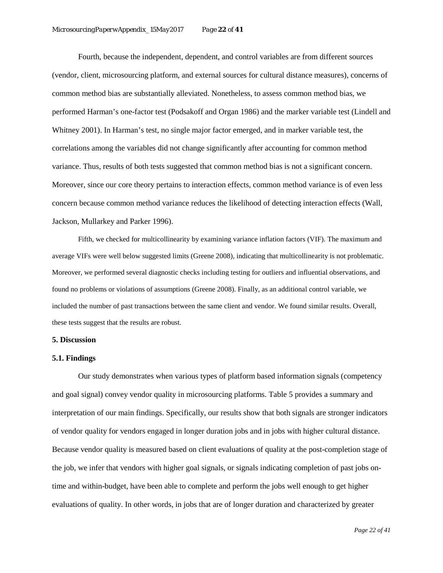Fourth, because the independent, dependent, and control variables are from different sources (vendor, client, microsourcing platform, and external sources for cultural distance measures), concerns of common method bias are substantially alleviated. Nonetheless, to assess common method bias, we performed Harman's one-factor test (Podsakoff and Organ 1986) and the marker variable test (Lindell and Whitney 2001). In Harman's test, no single major factor emerged, and in marker variable test, the correlations among the variables did not change significantly after accounting for common method variance. Thus, results of both tests suggested that common method bias is not a significant concern. Moreover, since our core theory pertains to interaction effects, common method variance is of even less concern because common method variance reduces the likelihood of detecting interaction effects (Wall, Jackson, Mullarkey and Parker 1996).

Fifth, we checked for multicollinearity by examining variance inflation factors (VIF). The maximum and average VIFs were well below suggested limits (Greene 2008), indicating that multicollinearity is not problematic. Moreover, we performed several diagnostic checks including testing for outliers and influential observations, and found no problems or violations of assumptions (Greene 2008). Finally, as an additional control variable, we included the number of past transactions between the same client and vendor. We found similar results. Overall, these tests suggest that the results are robust.

#### **5. Discussion**

#### **5.1. Findings**

Our study demonstrates when various types of platform based information signals (competency and goal signal) convey vendor quality in microsourcing platforms. Table 5 provides a summary and interpretation of our main findings. Specifically, our results show that both signals are stronger indicators of vendor quality for vendors engaged in longer duration jobs and in jobs with higher cultural distance. Because vendor quality is measured based on client evaluations of quality at the post-completion stage of the job, we infer that vendors with higher goal signals, or signals indicating completion of past jobs ontime and within-budget, have been able to complete and perform the jobs well enough to get higher evaluations of quality. In other words, in jobs that are of longer duration and characterized by greater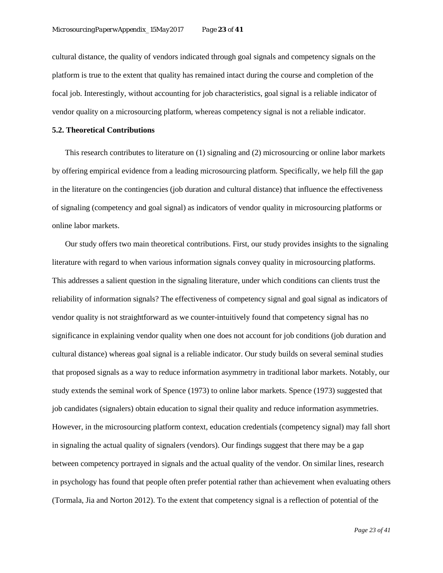cultural distance, the quality of vendors indicated through goal signals and competency signals on the platform is true to the extent that quality has remained intact during the course and completion of the focal job. Interestingly, without accounting for job characteristics, goal signal is a reliable indicator of vendor quality on a microsourcing platform, whereas competency signal is not a reliable indicator.

#### **5.2. Theoretical Contributions**

This research contributes to literature on (1) signaling and (2) microsourcing or online labor markets by offering empirical evidence from a leading microsourcing platform. Specifically, we help fill the gap in the literature on the contingencies (job duration and cultural distance) that influence the effectiveness of signaling (competency and goal signal) as indicators of vendor quality in microsourcing platforms or online labor markets.

Our study offers two main theoretical contributions. First, our study provides insights to the signaling literature with regard to when various information signals convey quality in microsourcing platforms. This addresses a salient question in the signaling literature, under which conditions can clients trust the reliability of information signals? The effectiveness of competency signal and goal signal as indicators of vendor quality is not straightforward as we counter-intuitively found that competency signal has no significance in explaining vendor quality when one does not account for job conditions (job duration and cultural distance) whereas goal signal is a reliable indicator. Our study builds on several seminal studies that proposed signals as a way to reduce information asymmetry in traditional labor markets. Notably, our study extends the seminal work of Spence (1973) to online labor markets. Spence (1973) suggested that job candidates (signalers) obtain education to signal their quality and reduce information asymmetries. However, in the microsourcing platform context, education credentials (competency signal) may fall short in signaling the actual quality of signalers (vendors). Our findings suggest that there may be a gap between competency portrayed in signals and the actual quality of the vendor. On similar lines, research in psychology has found that people often prefer potential rather than achievement when evaluating others (Tormala, Jia and Norton 2012). To the extent that competency signal is a reflection of potential of the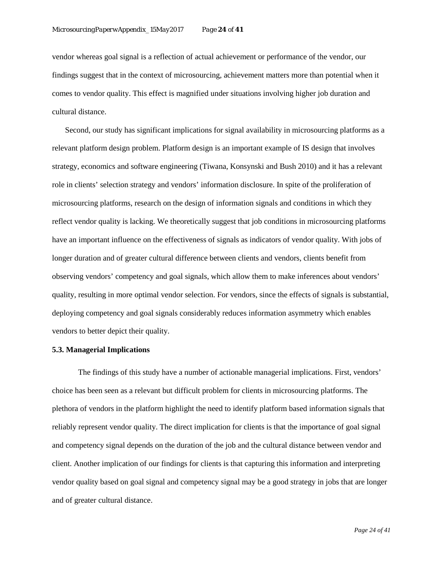vendor whereas goal signal is a reflection of actual achievement or performance of the vendor, our findings suggest that in the context of microsourcing, achievement matters more than potential when it comes to vendor quality. This effect is magnified under situations involving higher job duration and cultural distance.

Second, our study has significant implications for signal availability in microsourcing platforms as a relevant platform design problem. Platform design is an important example of IS design that involves strategy, economics and software engineering (Tiwana, Konsynski and Bush 2010) and it has a relevant role in clients' selection strategy and vendors' information disclosure. In spite of the proliferation of microsourcing platforms, research on the design of information signals and conditions in which they reflect vendor quality is lacking. We theoretically suggest that job conditions in microsourcing platforms have an important influence on the effectiveness of signals as indicators of vendor quality. With jobs of longer duration and of greater cultural difference between clients and vendors, clients benefit from observing vendors' competency and goal signals, which allow them to make inferences about vendors' quality, resulting in more optimal vendor selection. For vendors, since the effects of signals is substantial, deploying competency and goal signals considerably reduces information asymmetry which enables vendors to better depict their quality.

#### **5.3. Managerial Implications**

The findings of this study have a number of actionable managerial implications. First, vendors' choice has been seen as a relevant but difficult problem for clients in microsourcing platforms. The plethora of vendors in the platform highlight the need to identify platform based information signals that reliably represent vendor quality. The direct implication for clients is that the importance of goal signal and competency signal depends on the duration of the job and the cultural distance between vendor and client. Another implication of our findings for clients is that capturing this information and interpreting vendor quality based on goal signal and competency signal may be a good strategy in jobs that are longer and of greater cultural distance.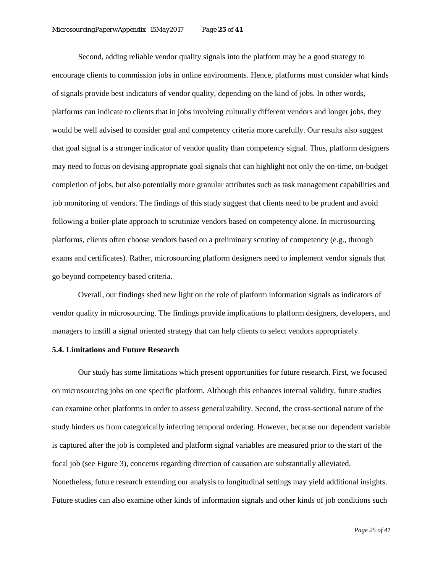Second, adding reliable vendor quality signals into the platform may be a good strategy to encourage clients to commission jobs in online environments. Hence, platforms must consider what kinds of signals provide best indicators of vendor quality, depending on the kind of jobs. In other words, platforms can indicate to clients that in jobs involving culturally different vendors and longer jobs, they would be well advised to consider goal and competency criteria more carefully. Our results also suggest that goal signal is a stronger indicator of vendor quality than competency signal. Thus, platform designers may need to focus on devising appropriate goal signals that can highlight not only the on-time, on-budget completion of jobs, but also potentially more granular attributes such as task management capabilities and job monitoring of vendors. The findings of this study suggest that clients need to be prudent and avoid following a boiler-plate approach to scrutinize vendors based on competency alone. In microsourcing platforms, clients often choose vendors based on a preliminary scrutiny of competency (e.g., through exams and certificates). Rather, microsourcing platform designers need to implement vendor signals that go beyond competency based criteria.

Overall, our findings shed new light on the role of platform information signals as indicators of vendor quality in microsourcing. The findings provide implications to platform designers, developers, and managers to instill a signal oriented strategy that can help clients to select vendors appropriately.

## **5.4. Limitations and Future Research**

Our study has some limitations which present opportunities for future research. First, we focused on microsourcing jobs on one specific platform. Although this enhances internal validity, future studies can examine other platforms in order to assess generalizability. Second, the cross-sectional nature of the study hinders us from categorically inferring temporal ordering. However, because our dependent variable is captured after the job is completed and platform signal variables are measured prior to the start of the focal job (see Figure 3), concerns regarding direction of causation are substantially alleviated. Nonetheless, future research extending our analysis to longitudinal settings may yield additional insights. Future studies can also examine other kinds of information signals and other kinds of job conditions such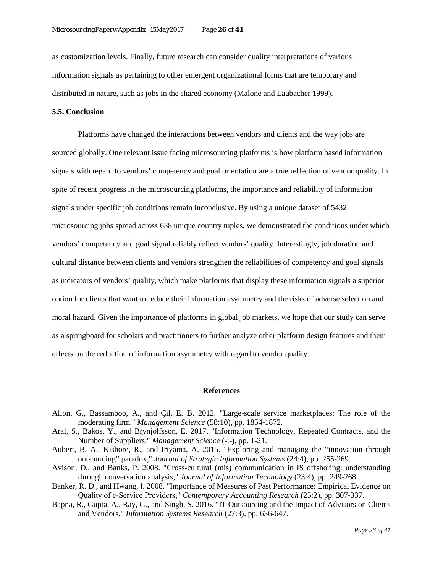as customization levels. Finally, future research can consider quality interpretations of various information signals as pertaining to other emergent organizational forms that are temporary and distributed in nature, such as jobs in the shared economy (Malone and Laubacher 1999).

## **5.5. Conclusion**

Platforms have changed the interactions between vendors and clients and the way jobs are sourced globally. One relevant issue facing microsourcing platforms is how platform based information signals with regard to vendors' competency and goal orientation are a true reflection of vendor quality. In spite of recent progress in the microsourcing platforms, the importance and reliability of information signals under specific job conditions remain inconclusive. By using a unique dataset of 5432 microsourcing jobs spread across 638 unique country tuples, we demonstrated the conditions under which vendors' competency and goal signal reliably reflect vendors' quality. Interestingly, job duration and cultural distance between clients and vendors strengthen the reliabilities of competency and goal signals as indicators of vendors' quality, which make platforms that display these information signals a superior option for clients that want to reduce their information asymmetry and the risks of adverse selection and moral hazard. Given the importance of platforms in global job markets, we hope that our study can serve as a springboard for scholars and practitioners to further analyze other platform design features and their effects on the reduction of information asymmetry with regard to vendor quality.

#### **References**

- Allon, G., Bassamboo, A., and Çil, E. B. 2012. "Large-scale service marketplaces: The role of the moderating firm," *Management Science* (58:10), pp. 1854-1872.
- Aral, S., Bakos, Y., and Brynjolfsson, E. 2017. "Information Technology, Repeated Contracts, and the Number of Suppliers," *Management Science* (-:-), pp. 1-21.
- Aubert, B. A., Kishore, R., and Iriyama, A. 2015. "Exploring and managing the "innovation through outsourcing" paradox," *Journal of Strategic Information Systems* (24:4), pp. 255-269.
- Avison, D., and Banks, P. 2008. "Cross-cultural (mis) communication in IS offshoring: understanding through conversation analysis," *Journal of Information Technology* (23:4), pp. 249-268.
- Banker, R. D., and Hwang, I. 2008. "Importance of Measures of Past Performance: Empirical Evidence on Quality of e‐Service Providers," *Contemporary Accounting Research* (25:2), pp. 307-337.
- Bapna, R., Gupta, A., Ray, G., and Singh, S. 2016. "IT Outsourcing and the Impact of Advisors on Clients and Vendors," *Information Systems Research* (27:3), pp. 636-647.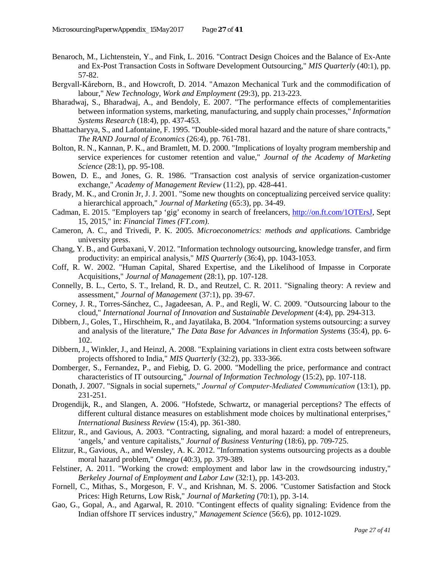- Benaroch, M., Lichtenstein, Y., and Fink, L. 2016. "Contract Design Choices and the Balance of Ex-Ante and Ex-Post Transaction Costs in Software Development Outsourcing," *MIS Quarterly* (40:1), pp. 57-82.
- Bergvall‐Kåreborn, B., and Howcroft, D. 2014. "Amazon Mechanical Turk and the commodification of labour," *New Technology, Work and Employment* (29:3), pp. 213-223.
- Bharadwaj, S., Bharadwaj, A., and Bendoly, E. 2007. "The performance effects of complementarities between information systems, marketing, manufacturing, and supply chain processes," *Information Systems Research* (18:4), pp. 437-453.
- Bhattacharyya, S., and Lafontaine, F. 1995. "Double-sided moral hazard and the nature of share contracts," *The RAND Journal of Economics* (26:4), pp. 761-781.
- Bolton, R. N., Kannan, P. K., and Bramlett, M. D. 2000. "Implications of loyalty program membership and service experiences for customer retention and value," *Journal of the Academy of Marketing Science* (28:1), pp. 95-108.
- Bowen, D. E., and Jones, G. R. 1986. "Transaction cost analysis of service organization-customer exchange," *Academy of Management Review* (11:2), pp. 428-441.
- Brady, M. K., and Cronin Jr, J. J. 2001. "Some new thoughts on conceptualizing perceived service quality: a hierarchical approach," *Journal of Marketing* (65:3), pp. 34-49.
- Cadman, E. 2015. "Employers tap 'gig' economy in search of freelancers, [http://on.ft.com/1OTErsJ,](http://on.ft.com/1OTErsJ) Sept 15, 2015," in: *Financial Times (FT.com)*.
- Cameron, A. C., and Trivedi, P. K. 2005. *Microeconometrics: methods and applications*. Cambridge university press.
- Chang, Y. B., and Gurbaxani, V. 2012. "Information technology outsourcing, knowledge transfer, and firm productivity: an empirical analysis," *MIS Quarterly* (36:4), pp. 1043-1053.
- Coff, R. W. 2002. "Human Capital, Shared Expertise, and the Likelihood of Impasse in Corporate Acquisitions," *Journal of Management* (28:1), pp. 107-128.
- Connelly, B. L., Certo, S. T., Ireland, R. D., and Reutzel, C. R. 2011. "Signaling theory: A review and assessment," *Journal of Management* (37:1), pp. 39-67.
- Corney, J. R., Torres-Sánchez, C., Jagadeesan, A. P., and Regli, W. C. 2009. "Outsourcing labour to the cloud," *International Journal of Innovation and Sustainable Development* (4:4), pp. 294-313.
- Dibbern, J., Goles, T., Hirschheim, R., and Jayatilaka, B. 2004. "Information systems outsourcing: a survey and analysis of the literature," *The Data Base for Advances in Information Systems* (35:4), pp. 6- 102.
- Dibbern, J., Winkler, J., and Heinzl, A. 2008. "Explaining variations in client extra costs between software projects offshored to India," *MIS Quarterly* (32:2), pp. 333-366.
- Domberger, S., Fernandez, P., and Fiebig, D. G. 2000. "Modelling the price, performance and contract characteristics of IT outsourcing," *Journal of Information Technology* (15:2), pp. 107-118.
- Donath, J. 2007. "Signals in social supernets," *Journal of Computer‐Mediated Communication* (13:1), pp. 231-251.
- Drogendijk, R., and Slangen, A. 2006. "Hofstede, Schwartz, or managerial perceptions? The effects of different cultural distance measures on establishment mode choices by multinational enterprises," *International Business Review* (15:4), pp. 361-380.
- Elitzur, R., and Gavious, A. 2003. "Contracting, signaling, and moral hazard: a model of entrepreneurs, 'angels,' and venture capitalists," *Journal of Business Venturing* (18:6), pp. 709-725.
- Elitzur, R., Gavious, A., and Wensley, A. K. 2012. "Information systems outsourcing projects as a double moral hazard problem," *Omega* (40:3), pp. 379-389.
- Felstiner, A. 2011. "Working the crowd: employment and labor law in the crowdsourcing industry," *Berkeley Journal of Employment and Labor Law* (32:1), pp. 143-203.
- Fornell, C., Mithas, S., Morgeson, F. V., and Krishnan, M. S. 2006. "Customer Satisfaction and Stock Prices: High Returns, Low Risk," *Journal of Marketing* (70:1), pp. 3-14.
- Gao, G., Gopal, A., and Agarwal, R. 2010. "Contingent effects of quality signaling: Evidence from the Indian offshore IT services industry," *Management Science* (56:6), pp. 1012-1029.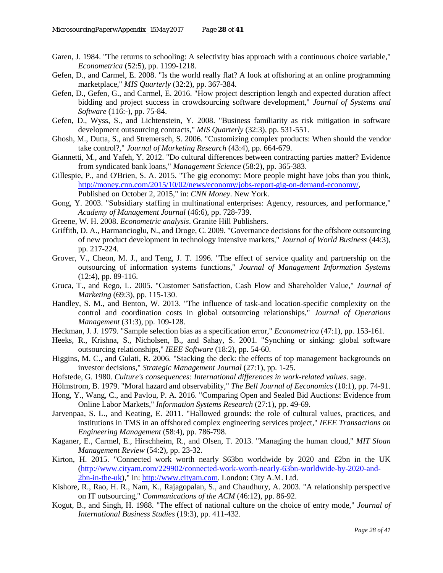- Garen, J. 1984. "The returns to schooling: A selectivity bias approach with a continuous choice variable," *Econometrica* (52:5), pp. 1199-1218.
- Gefen, D., and Carmel, E. 2008. "Is the world really flat? A look at offshoring at an online programming marketplace," *MIS Quarterly* (32:2), pp. 367-384.
- Gefen, D., Gefen, G., and Carmel, E. 2016. "How project description length and expected duration affect bidding and project success in crowdsourcing software development," *Journal of Systems and Software* (116:-), pp. 75-84.
- Gefen, D., Wyss, S., and Lichtenstein, Y. 2008. "Business familiarity as risk mitigation in software development outsourcing contracts," *MIS Quarterly* (32:3), pp. 531-551.
- Ghosh, M., Dutta, S., and Stremersch, S. 2006. "Customizing complex products: When should the vendor take control?," *Journal of Marketing Research* (43:4), pp. 664-679.
- Giannetti, M., and Yafeh, Y. 2012. "Do cultural differences between contracting parties matter? Evidence from syndicated bank loans," *Management Science* (58:2), pp. 365-383.
- Gillespie, P., and O'Brien, S. A. 2015. "The gig economy: More people might have jobs than you think, [http://money.cnn.com/2015/10/02/news/economy/jobs-report-gig-on-demand-economy/,](http://money.cnn.com/2015/10/02/news/economy/jobs-report-gig-on-demand-economy/) Published on October 2, 2015," in: *CNN Money*. New York.
- Gong, Y. 2003. "Subsidiary staffing in multinational enterprises: Agency, resources, and performance," *Academy of Management Journal* (46:6), pp. 728-739.
- Greene, W. H. 2008. *Econometric analysis*. Granite Hill Publishers.
- Griffith, D. A., Harmancioglu, N., and Droge, C. 2009. "Governance decisions for the offshore outsourcing of new product development in technology intensive markets," *Journal of World Business* (44:3), pp. 217-224.
- Grover, V., Cheon, M. J., and Teng, J. T. 1996. "The effect of service quality and partnership on the outsourcing of information systems functions," *Journal of Management Information Systems* (12:4), pp. 89-116.
- Gruca, T., and Rego, L. 2005. "Customer Satisfaction, Cash Flow and Shareholder Value," *Journal of Marketing* (69:3), pp. 115-130.
- Handley, S. M., and Benton, W. 2013. "The influence of task-and location-specific complexity on the control and coordination costs in global outsourcing relationships," *Journal of Operations Management* (31:3), pp. 109-128.
- Heckman, J. J. 1979. "Sample selection bias as a specification error," *Econometrica* (47:1), pp. 153-161.
- Heeks, R., Krishna, S., Nicholsen, B., and Sahay, S. 2001. "Synching or sinking: global software outsourcing relationships," *IEEE Software* (18:2), pp. 54-60.
- Higgins, M. C., and Gulati, R. 2006. "Stacking the deck: the effects of top management backgrounds on investor decisions," *Strategic Management Journal* (27:1), pp. 1-25.
- Hofstede, G. 1980. *Culture's consequences: International differences in work-related values*. sage.
- Hölmstrom, B. 1979. "Moral hazard and observability," *The Bell Journal of Eeconomics* (10:1), pp. 74-91.
- Hong, Y., Wang, C., and Pavlou, P. A. 2016. "Comparing Open and Sealed Bid Auctions: Evidence from Online Labor Markets," *Information Systems Research* (27:1), pp. 49-69.
- Jarvenpaa, S. L., and Keating, E. 2011. "Hallowed grounds: the role of cultural values, practices, and institutions in TMS in an offshored complex engineering services project," *IEEE Transactions on Engineering Management* (58:4), pp. 786-798.
- Kaganer, E., Carmel, E., Hirschheim, R., and Olsen, T. 2013. "Managing the human cloud," *MIT Sloan Management Review* (54:2), pp. 23-32.
- Kirton, H. 2015. "Connected work worth nearly \$63bn worldwide by 2020 and £2bn in the UK [\(http://www.cityam.com/229902/connected-work-worth-nearly-63bn-worldwide-by-2020-and-](http://www.cityam.com/229902/connected-work-worth-nearly-63bn-worldwide-by-2020-and-2bn-in-the-uk)[2bn-in-the-uk\)](http://www.cityam.com/229902/connected-work-worth-nearly-63bn-worldwide-by-2020-and-2bn-in-the-uk)," in: [http://www.cityam.com.](http://www.cityam.com/) London: City A.M. Ltd.
- Kishore, R., Rao, H. R., Nam, K., Rajagopalan, S., and Chaudhury, A. 2003. "A relationship perspective on IT outsourcing," *Communications of the ACM* (46:12), pp. 86-92.
- Kogut, B., and Singh, H. 1988. "The effect of national culture on the choice of entry mode," *Journal of International Business Studies* (19:3), pp. 411-432.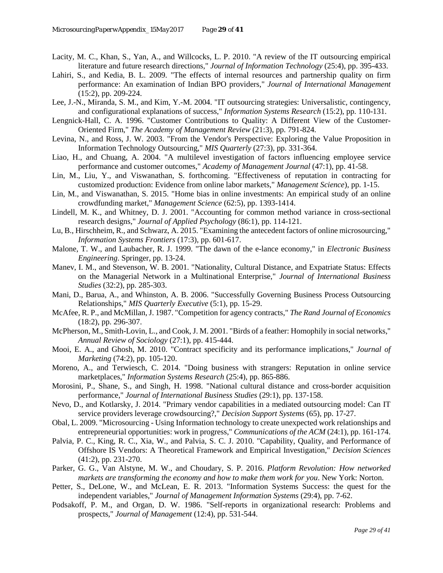- Lacity, M. C., Khan, S., Yan, A., and Willcocks, L. P. 2010. "A review of the IT outsourcing empirical literature and future research directions," *Journal of Information Technology* (25:4), pp. 395-433.
- Lahiri, S., and Kedia, B. L. 2009. "The effects of internal resources and partnership quality on firm performance: An examination of Indian BPO providers," *Journal of International Management* (15:2), pp. 209-224.
- Lee, J.-N., Miranda, S. M., and Kim, Y.-M. 2004. "IT outsourcing strategies: Universalistic, contingency, and configurational explanations of success," *Information Systems Research* (15:2), pp. 110-131.
- Lengnick-Hall, C. A. 1996. "Customer Contributions to Quality: A Different View of the Customer-Oriented Firm," *The Academy of Management Review* (21:3), pp. 791-824.
- Levina, N., and Ross, J. W. 2003. "From the Vendor's Perspective: Exploring the Value Proposition in Information Technology Outsourcing," *MIS Quarterly* (27:3), pp. 331-364.
- Liao, H., and Chuang, A. 2004. "A multilevel investigation of factors influencing employee service performance and customer outcomes," *Academy of Management Journal* (47:1), pp. 41-58.
- Lin, M., Liu, Y., and Viswanathan, S. forthcoming. "Effectiveness of reputation in contracting for customized production: Evidence from online labor markets," *Management Science*), pp. 1-15.
- Lin, M., and Viswanathan, S. 2015. "Home bias in online investments: An empirical study of an online crowdfunding market," *Management Science* (62:5), pp. 1393-1414.
- Lindell, M. K., and Whitney, D. J. 2001. "Accounting for common method variance in cross-sectional research designs," *Journal of Applied Psychology* (86:1), pp. 114-121.
- Lu, B., Hirschheim, R., and Schwarz, A. 2015. "Examining the antecedent factors of online microsourcing," *Information Systems Frontiers* (17:3), pp. 601-617.
- Malone, T. W., and Laubacher, R. J. 1999. "The dawn of the e-lance economy," in *Electronic Business Engineering*. Springer, pp. 13-24.
- Manev, I. M., and Stevenson, W. B. 2001. "Nationality, Cultural Distance, and Expatriate Status: Effects on the Managerial Network in a Multinational Enterprise," *Journal of International Business Studies* (32:2), pp. 285-303.
- Mani, D., Barua, A., and Whinston, A. B. 2006. "Successfully Governing Business Process Outsourcing Relationships," *MIS Quarterly Executive* (5:1), pp. 15-29.
- McAfee, R. P., and McMillan, J. 1987. "Competition for agency contracts," *The Rand Journal of Economics* (18:2), pp. 296-307.
- McPherson, M., Smith-Lovin, L., and Cook, J. M. 2001. "Birds of a feather: Homophily in social networks," *Annual Review of Sociology* (27:1), pp. 415-444.
- Mooi, E. A., and Ghosh, M. 2010. "Contract specificity and its performance implications," *Journal of Marketing* (74:2), pp. 105-120.
- Moreno, A., and Terwiesch, C. 2014. "Doing business with strangers: Reputation in online service marketplaces," *Information Systems Research* (25:4), pp. 865-886.
- Morosini, P., Shane, S., and Singh, H. 1998. "National cultural distance and cross-border acquisition performance," *Journal of International Business Studies* (29:1), pp. 137-158.
- Nevo, D., and Kotlarsky, J. 2014. "Primary vendor capabilities in a mediated outsourcing model: Can IT service providers leverage crowdsourcing?," *Decision Support Systems* (65), pp. 17-27.
- Obal, L. 2009. "Microsourcing Using Information technology to create unexpected work relationships and entrepreneurial opportunities: work in progress," *Communications of the ACM* (24:1), pp. 161-174.
- Palvia, P. C., King, R. C., Xia, W., and Palvia, S. C. J. 2010. "Capability, Quality, and Performance of Offshore IS Vendors: A Theoretical Framework and Empirical Investigation," *Decision Sciences* (41:2), pp. 231-270.
- Parker, G. G., Van Alstyne, M. W., and Choudary, S. P. 2016. *Platform Revolution: How networked markets are transforming the economy and how to make them work for you*. New York: Norton.
- Petter, S., DeLone, W., and McLean, E. R. 2013. "Information Systems Success: the quest for the independent variables," *Journal of Management Information Systems* (29:4), pp. 7-62.
- Podsakoff, P. M., and Organ, D. W. 1986. "Self-reports in organizational research: Problems and prospects," *Journal of Management* (12:4), pp. 531-544.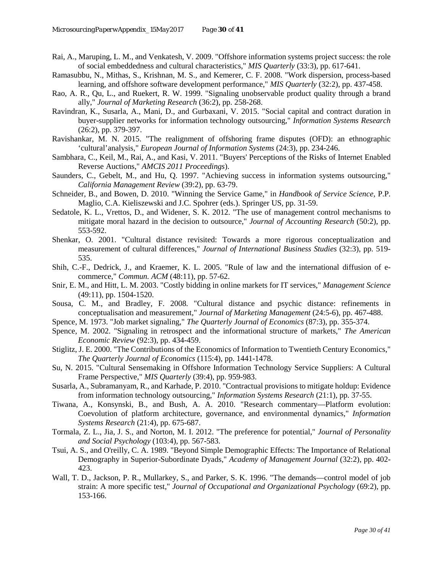- Rai, A., Maruping, L. M., and Venkatesh, V. 2009. "Offshore information systems project success: the role of social embeddedness and cultural characteristics," *MIS Quarterly* (33:3), pp. 617-641.
- Ramasubbu, N., Mithas, S., Krishnan, M. S., and Kemerer, C. F. 2008. "Work dispersion, process-based learning, and offshore software development performance," *MIS Quarterly* (32:2), pp. 437-458.
- Rao, A. R., Qu, L., and Ruekert, R. W. 1999. "Signaling unobservable product quality through a brand ally," *Journal of Marketing Research* (36:2), pp. 258-268.
- Ravindran, K., Susarla, A., Mani, D., and Gurbaxani, V. 2015. "Social capital and contract duration in buyer-supplier networks for information technology outsourcing," *Information Systems Research* (26:2), pp. 379-397.
- Ravishankar, M. N. 2015. "The realignment of offshoring frame disputes (OFD): an ethnographic 'cultural'analysis," *European Journal of Information Systems* (24:3), pp. 234-246.
- Sambhara, C., Keil, M., Rai, A., and Kasi, V. 2011. "Buyers' Perceptions of the Risks of Internet Enabled Reverse Auctions," *AMCIS 2011 Proceedings*).
- Saunders, C., Gebelt, M., and Hu, Q. 1997. "Achieving success in information systems outsourcing," *California Management Review* (39:2), pp. 63-79.
- Schneider, B., and Bowen, D. 2010. "Winning the Service Game," in *Handbook of Service Science,* P.P. Maglio, C.A. Kieliszewski and J.C. Spohrer (eds.). Springer US, pp. 31-59.
- Sedatole, K. L., Vrettos, D., and Widener, S. K. 2012. "The use of management control mechanisms to mitigate moral hazard in the decision to outsource," *Journal of Accounting Research* (50:2), pp. 553-592.
- Shenkar, O. 2001. "Cultural distance revisited: Towards a more rigorous conceptualization and measurement of cultural differences," *Journal of International Business Studies* (32:3), pp. 519- 535.
- Shih, C.-F., Dedrick, J., and Kraemer, K. L. 2005. "Rule of law and the international diffusion of ecommerce," *Commun. ACM* (48:11), pp. 57-62.
- Snir, E. M., and Hitt, L. M. 2003. "Costly bidding in online markets for IT services," *Management Science* (49:11), pp. 1504-1520.
- Sousa, C. M., and Bradley, F. 2008. "Cultural distance and psychic distance: refinements in conceptualisation and measurement," *Journal of Marketing Management* (24:5-6), pp. 467-488.
- Spence, M. 1973. "Job market signaling," *The Quarterly Journal of Economics* (87:3), pp. 355-374.
- Spence, M. 2002. "Signaling in retrospect and the informational structure of markets," *The American Economic Review* (92:3), pp. 434-459.
- Stiglitz, J. E. 2000. "The Contributions of the Economics of Information to Twentieth Century Economics," *The Quarterly Journal of Economics* (115:4), pp. 1441-1478.
- Su, N. 2015. "Cultural Sensemaking in Offshore Information Technology Service Suppliers: A Cultural Frame Perspective," *MIS Quarterly* (39:4), pp. 959-983.
- Susarla, A., Subramanyam, R., and Karhade, P. 2010. "Contractual provisions to mitigate holdup: Evidence from information technology outsourcing," *Information Systems Research* (21:1), pp. 37-55.
- Tiwana, A., Konsynski, B., and Bush, A. A. 2010. "Research commentary—Platform evolution: Coevolution of platform architecture, governance, and environmental dynamics," *Information Systems Research* (21:4), pp. 675-687.
- Tormala, Z. L., Jia, J. S., and Norton, M. I. 2012. "The preference for potential," *Journal of Personality and Social Psychology* (103:4), pp. 567-583.
- Tsui, A. S., and O'reilly, C. A. 1989. "Beyond Simple Demographic Effects: The Importance of Relational Demography in Superior-Subordinate Dyads," *Academy of Management Journal* (32:2), pp. 402- 423.
- Wall, T. D., Jackson, P. R., Mullarkey, S., and Parker, S. K. 1996. "The demands—control model of job strain: A more specific test," *Journal of Occupational and Organizational Psychology* (69:2), pp. 153-166.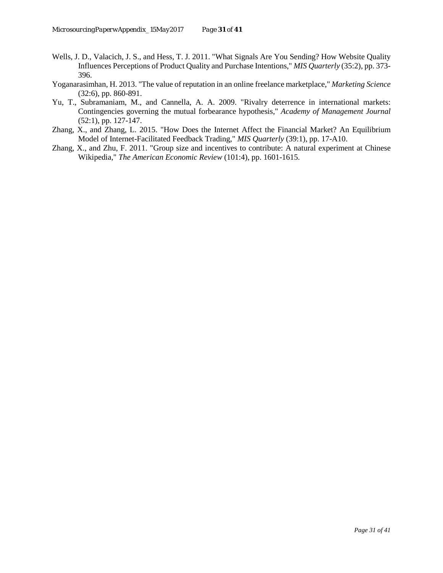- Wells, J. D., Valacich, J. S., and Hess, T. J. 2011. "What Signals Are You Sending? How Website Quality Influences Perceptions of Product Quality and Purchase Intentions," *MIS Quarterly* (35:2), pp. 373- 396.
- Yoganarasimhan, H. 2013. "The value of reputation in an online freelance marketplace," *Marketing Science* (32:6), pp. 860-891.
- Yu, T., Subramaniam, M., and Cannella, A. A. 2009. "Rivalry deterrence in international markets: Contingencies governing the mutual forbearance hypothesis," *Academy of Management Journal* (52:1), pp. 127-147.
- Zhang, X., and Zhang, L. 2015. "How Does the Internet Affect the Financial Market? An Equilibrium Model of Internet-Facilitated Feedback Trading," *MIS Quarterly* (39:1), pp. 17-A10.
- Zhang, X., and Zhu, F. 2011. "Group size and incentives to contribute: A natural experiment at Chinese Wikipedia," *The American Economic Review* (101:4), pp. 1601-1615.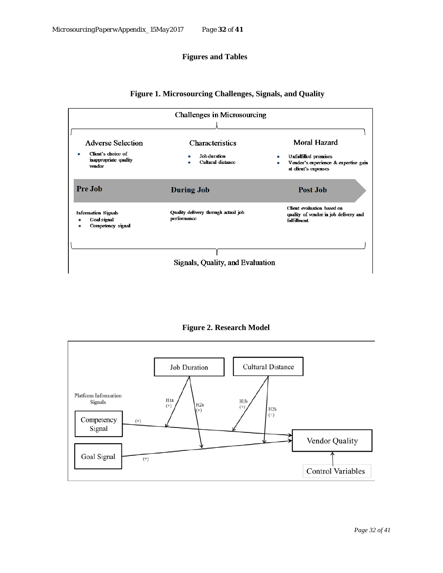## **Figures and Tables**



## **Figure 1. Microsourcing Challenges, Signals, and Quality**

**Figure 2. Research Model**

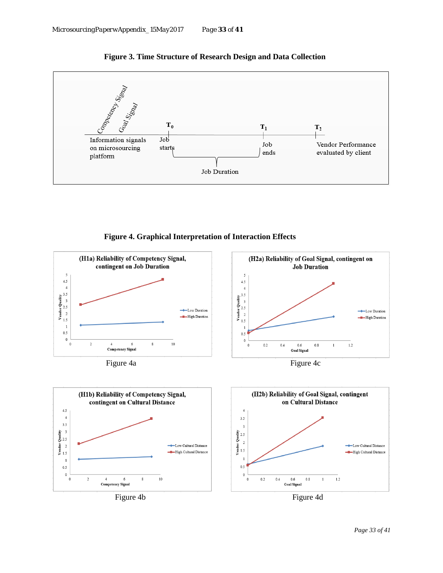

**Figure 3. Time Structure of Research Design and Data Collection**

**Figure 4. Graphical Interpretation of Interaction Effects**

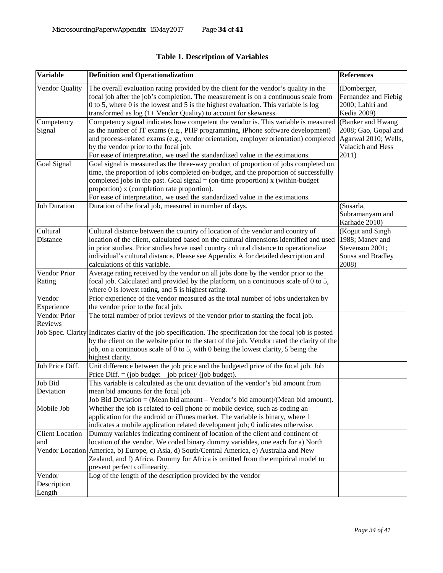| <b>Variable</b>                 | <b>Definition and Operationalization</b>                                                                                                                                                                                                                                                                                                                                                                     | <b>References</b>                                                                    |
|---------------------------------|--------------------------------------------------------------------------------------------------------------------------------------------------------------------------------------------------------------------------------------------------------------------------------------------------------------------------------------------------------------------------------------------------------------|--------------------------------------------------------------------------------------|
| Vendor Quality                  | The overall evaluation rating provided by the client for the vendor's quality in the<br>focal job after the job's completion. The measurement is on a continuous scale from<br>$0$ to 5, where $0$ is the lowest and 5 is the highest evaluation. This variable is log<br>transformed as $log(1 + V$ endor Quality) to account for skewness.                                                                 | (Domberger,<br>Fernandez and Fiebig<br>2000; Lahiri and<br><b>Kedia 2009)</b>        |
| Competency<br>Signal            | Competency signal indicates how competent the vendor is. This variable is measured<br>as the number of IT exams (e.g., PHP programming, iPhone software development)<br>and process-related exams (e.g., vendor orientation, employer orientation) completed Agarwal 2010; Wells,<br>by the vendor prior to the focal job.<br>For ease of interpretation, we used the standardized value in the estimations. | (Banker and Hwang<br>2008; Gao, Gopal and<br>Valacich and Hess<br>2011)              |
| Goal Signal                     | Goal signal is measured as the three-way product of proportion of jobs completed on<br>time, the proportion of jobs completed on-budget, and the proportion of successfully<br>completed jobs in the past. Goal signal = (on-time proportion) $x$ (within-budget<br>proportion) x (completion rate proportion).<br>For ease of interpretation, we used the standardized value in the estimations.            |                                                                                      |
| <b>Job Duration</b>             | Duration of the focal job, measured in number of days.                                                                                                                                                                                                                                                                                                                                                       | (Susarla,<br>Subramanyam and<br>Karhade 2010)                                        |
| Cultural<br>Distance            | Cultural distance between the country of location of the vendor and country of<br>location of the client, calculated based on the cultural dimensions identified and used<br>in prior studies. Prior studies have used country cultural distance to operationalize<br>individual's cultural distance. Please see Appendix A for detailed description and<br>calculations of this variable.                   | (Kogut and Singh<br>1988; Manev and<br>Stevenson 2001;<br>Sousa and Bradley<br>2008) |
| Vendor Prior<br>Rating          | Average rating received by the vendor on all jobs done by the vendor prior to the<br>focal job. Calculated and provided by the platform, on a continuous scale of 0 to 5,<br>where $0$ is lowest rating, and $5$ is highest rating.                                                                                                                                                                          |                                                                                      |
| Vendor<br>Experience            | Prior experience of the vendor measured as the total number of jobs undertaken by<br>the vendor prior to the focal job.                                                                                                                                                                                                                                                                                      |                                                                                      |
| Vendor Prior<br>Reviews         | The total number of prior reviews of the vendor prior to starting the focal job.                                                                                                                                                                                                                                                                                                                             |                                                                                      |
|                                 | Job Spec. Clarity Indicates clarity of the job specification. The specification for the focal job is posted<br>by the client on the website prior to the start of the job. Vendor rated the clarity of the<br>job, on a continuous scale of 0 to 5, with 0 being the lowest clarity, 5 being the<br>highest clarity.                                                                                         |                                                                                      |
| Job Price Diff.                 | Unit difference between the job price and the budgeted price of the focal job. Job<br>Price Diff. = (job budget $-$ job price)/ (job budget).                                                                                                                                                                                                                                                                |                                                                                      |
| Job Bid<br>Deviation            | This variable is calculated as the unit deviation of the vendor's bid amount from<br>mean bid amounts for the focal job.<br>Job Bid Deviation = (Mean bid amount - Vendor's bid amount)/(Mean bid amount).                                                                                                                                                                                                   |                                                                                      |
| Mobile Job                      | Whether the job is related to cell phone or mobile device, such as coding an<br>application for the android or iTunes market. The variable is binary, where 1<br>indicates a mobile application related development job; 0 indicates otherwise.                                                                                                                                                              |                                                                                      |
| <b>Client Location</b><br>and   | Dummy variables indicating continent of location of the client and continent of<br>location of the vendor. We coded binary dummy variables, one each for a) North<br>Vendor Location America, b) Europe, c) Asia, d) South/Central America, e) Australia and New<br>Zealand, and f) Africa. Dummy for Africa is omitted from the empirical model to<br>prevent perfect collinearity.                         |                                                                                      |
| Vendor<br>Description<br>Length | Log of the length of the description provided by the vendor                                                                                                                                                                                                                                                                                                                                                  |                                                                                      |

## **Table 1. Description of Variables**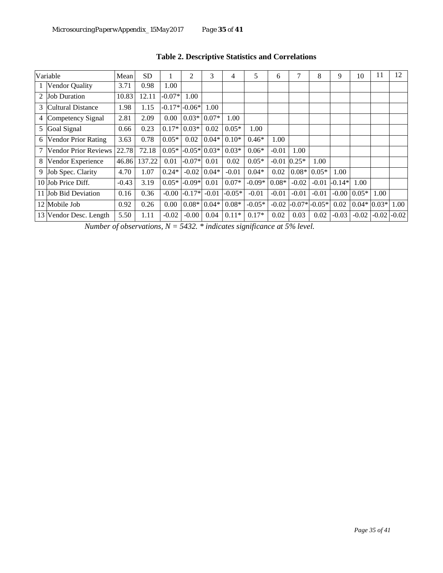|               | Variable                    | Mean    | SD     |          | $\overline{c}$  | 3       | 4        | 5        | 6       | $\mathcal{I}$ | 8                 | 9        | 10            | 11      | 12      |
|---------------|-----------------------------|---------|--------|----------|-----------------|---------|----------|----------|---------|---------------|-------------------|----------|---------------|---------|---------|
|               | Vendor Quality              | 3.71    | 0.98   | 1.00     |                 |         |          |          |         |               |                   |          |               |         |         |
| $\mathcal{L}$ | <b>Job Duration</b>         | 10.83   | 12.11  | $-0.07*$ | 1.00            |         |          |          |         |               |                   |          |               |         |         |
| 3             | <b>Cultural Distance</b>    | 1.98    | 1.15   |          | $-0.17* -0.06*$ | 1.00    |          |          |         |               |                   |          |               |         |         |
| 4             | Competency Signal           | 2.81    | 2.09   | 0.00     | $0.03*$         | $0.07*$ | 1.00     |          |         |               |                   |          |               |         |         |
| 5             | Goal Signal                 | 0.66    | 0.23   | $0.17*$  | $0.03*$         | 0.02    | $0.05*$  | 1.00     |         |               |                   |          |               |         |         |
| 6             | <b>Vendor Prior Rating</b>  | 3.63    | 0.78   | $0.05*$  | 0.02            | $0.04*$ | $0.10*$  | $0.46*$  | 1.00    |               |                   |          |               |         |         |
| 7             | <b>Vendor Prior Reviews</b> | 22.78   | 72.18  | $0.05*$  | $-0.05*$ 0.03*  |         | $0.03*$  | $0.06*$  | $-0.01$ | 1.00          |                   |          |               |         |         |
| 8             | Vendor Experience           | 46.86   | 137.22 | 0.01     | $-0.07*$        | 0.01    | 0.02     | $0.05*$  | $-0.01$ | $0.25*$       | 1.00              |          |               |         |         |
| 9             | Job Spec. Clarity           | 4.70    | 1.07   | $0.24*$  | $-0.02$         | $0.04*$ | $-0.01$  | $0.04*$  | 0.02    | $0.08*$       | $0.05*$           | 1.00     |               |         |         |
|               | 10 Job Price Diff.          | $-0.43$ | 3.19   | $0.05*$  | $-0.09*$        | 0.01    | $0.07*$  | $-0.09*$ | $0.08*$ | $-0.02$       | $-0.01$           | $-0.14*$ | 1.00          |         |         |
|               | 11 Job Bid Deviation        | 0.16    | 0.36   | $-0.00$  | $-0.17*$        | $-0.01$ | $-0.05*$ | $-0.01$  | $-0.01$ | $-0.01$       | $-0.01$           |          | $-0.0010.05*$ | 1.00    |         |
|               | 12 Mobile Job               | 0.92    | 0.26   | 0.00     | $0.08*$         | $0.04*$ | $0.08*$  | $-0.05*$ | $-0.02$ |               | $-0.07*$ $-0.05*$ | 0.02     | $0.04*$       | $0.03*$ | 1.00    |
|               | 13 Vendor Desc. Length      | 5.50    | 1.11   | $-0.02$  | $-0.00$         | 0.04    | $0.11*$  | $0.17*$  | 0.02    | 0.03          | 0.02              | $-0.03$  | $-0.02$       | $-0.02$ | $-0.02$ |

## **Table 2. Descriptive Statistics and Correlations**

*Number of observations, N = 5432. \* indicates significance at 5% level.*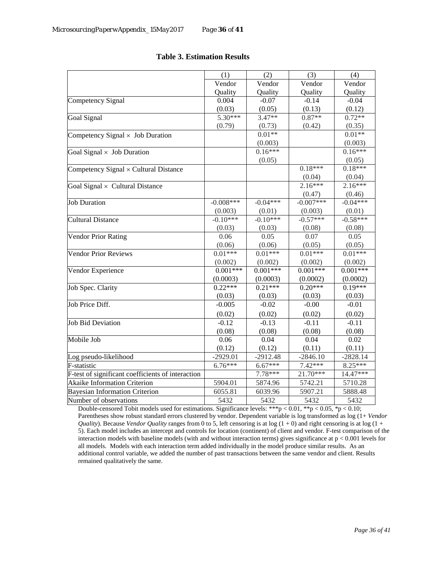| Vendor<br>Vendor<br>Vendor<br>Vendor<br>Quality<br>Quality<br>Quality<br>Quality<br>$-0.04$<br>0.004<br>$-0.07$<br>$-0.14$<br>(0.03)<br>(0.05)<br>(0.13)<br>(0.12)<br>$5.30***$<br>$3.47**$<br>$0.87**$<br>$0.72**$<br><b>Goal Signal</b><br>(0.79)<br>(0.73)<br>(0.42)<br>(0.35)<br>$0.01**$<br>$0.01**$<br>Competency Signal $\times$ Job Duration<br>(0.003)<br>(0.003)<br>$0.16***$<br>$0.16***$<br>Goal Signal $\times$ Job Duration<br>(0.05)<br>(0.05)<br>$0.18***$<br>$0.18***$<br>Competency Signal × Cultural Distance<br>(0.04)<br>(0.04)<br>$2.16***$<br>$2.16***$<br>Goal Signal $\times$ Cultural Distance<br>(0.47)<br>(0.46)<br>$-0.04***$<br>$-0.007***$<br>$-0.04***$<br><b>Job Duration</b><br>$-0.008***$<br>(0.003)<br>(0.003)<br>(0.01)<br>(0.01)<br>$-0.57***$<br>$-0.58***$<br>$-0.10***$<br>$-0.10***$<br><b>Cultural Distance</b><br>(0.08)<br>(0.03)<br>(0.03)<br>(0.08)<br>0.07<br><b>Vendor Prior Rating</b><br>0.06<br>0.05<br>0.05<br>(0.06)<br>(0.06)<br>(0.05)<br>(0.05)<br>$0.01***$<br>$0.01***$<br>$0.01***$<br>$0.01***$<br><b>Vendor Prior Reviews</b><br>(0.002)<br>(0.002)<br>(0.002)<br>(0.002)<br>$0.001***$<br>$0.001***$<br>$0.001***$<br>$0.001***$<br>Vendor Experience<br>(0.0002)<br>(0.0003)<br>(0.0003)<br>(0.0002)<br>$0.22***$<br>$0.21***$<br>$0.20***$<br>$0.19***$<br>Job Spec. Clarity<br>(0.03)<br>(0.03)<br>(0.03)<br>(0.03)<br>$-0.005$<br>$-0.02$<br>$-0.00$<br>$-0.01$<br>(0.02)<br>(0.02)<br>(0.02)<br>(0.02)<br><b>Job Bid Deviation</b><br>$-0.12$<br>$-0.13$<br>$-0.11$<br>$-0.11$<br>(0.08)<br>(0.08)<br>(0.08)<br>(0.08)<br>Mobile Job<br>0.06<br>0.04<br>0.04<br>0.02<br>(0.12)<br>(0.12)<br>(0.11)<br>(0.11)<br>$-2929.01$<br>$-2912.48$<br>$-2846.10$<br>$-2828.14$<br>Log pseudo-likelihood<br>7.42***<br>$6.76***$<br>$6.67***$<br>8.25***<br>F-statistic<br>$7.78***$<br>$21.70***$<br>F-test of significant coefficients of interaction<br>14.47***<br><b>Akaike Information Criterion</b><br>5904.01<br>5742.21<br>5874.96<br>5710.28<br>6055.81<br>5907.21<br>6039.96<br>5888.48<br><b>Bayesian Information Criterion</b><br>5432<br>5432<br>5432<br>5432 |                        |     |     |     |     |
|---------------------------------------------------------------------------------------------------------------------------------------------------------------------------------------------------------------------------------------------------------------------------------------------------------------------------------------------------------------------------------------------------------------------------------------------------------------------------------------------------------------------------------------------------------------------------------------------------------------------------------------------------------------------------------------------------------------------------------------------------------------------------------------------------------------------------------------------------------------------------------------------------------------------------------------------------------------------------------------------------------------------------------------------------------------------------------------------------------------------------------------------------------------------------------------------------------------------------------------------------------------------------------------------------------------------------------------------------------------------------------------------------------------------------------------------------------------------------------------------------------------------------------------------------------------------------------------------------------------------------------------------------------------------------------------------------------------------------------------------------------------------------------------------------------------------------------------------------------------------------------------------------------------------------------------------------------------------------------------------------------------------------------------------------------------------------------------------------------------------------------------|------------------------|-----|-----|-----|-----|
|                                                                                                                                                                                                                                                                                                                                                                                                                                                                                                                                                                                                                                                                                                                                                                                                                                                                                                                                                                                                                                                                                                                                                                                                                                                                                                                                                                                                                                                                                                                                                                                                                                                                                                                                                                                                                                                                                                                                                                                                                                                                                                                                       |                        | (1) | (2) | (3) | (4) |
|                                                                                                                                                                                                                                                                                                                                                                                                                                                                                                                                                                                                                                                                                                                                                                                                                                                                                                                                                                                                                                                                                                                                                                                                                                                                                                                                                                                                                                                                                                                                                                                                                                                                                                                                                                                                                                                                                                                                                                                                                                                                                                                                       |                        |     |     |     |     |
|                                                                                                                                                                                                                                                                                                                                                                                                                                                                                                                                                                                                                                                                                                                                                                                                                                                                                                                                                                                                                                                                                                                                                                                                                                                                                                                                                                                                                                                                                                                                                                                                                                                                                                                                                                                                                                                                                                                                                                                                                                                                                                                                       |                        |     |     |     |     |
|                                                                                                                                                                                                                                                                                                                                                                                                                                                                                                                                                                                                                                                                                                                                                                                                                                                                                                                                                                                                                                                                                                                                                                                                                                                                                                                                                                                                                                                                                                                                                                                                                                                                                                                                                                                                                                                                                                                                                                                                                                                                                                                                       | Competency Signal      |     |     |     |     |
|                                                                                                                                                                                                                                                                                                                                                                                                                                                                                                                                                                                                                                                                                                                                                                                                                                                                                                                                                                                                                                                                                                                                                                                                                                                                                                                                                                                                                                                                                                                                                                                                                                                                                                                                                                                                                                                                                                                                                                                                                                                                                                                                       |                        |     |     |     |     |
|                                                                                                                                                                                                                                                                                                                                                                                                                                                                                                                                                                                                                                                                                                                                                                                                                                                                                                                                                                                                                                                                                                                                                                                                                                                                                                                                                                                                                                                                                                                                                                                                                                                                                                                                                                                                                                                                                                                                                                                                                                                                                                                                       |                        |     |     |     |     |
|                                                                                                                                                                                                                                                                                                                                                                                                                                                                                                                                                                                                                                                                                                                                                                                                                                                                                                                                                                                                                                                                                                                                                                                                                                                                                                                                                                                                                                                                                                                                                                                                                                                                                                                                                                                                                                                                                                                                                                                                                                                                                                                                       |                        |     |     |     |     |
|                                                                                                                                                                                                                                                                                                                                                                                                                                                                                                                                                                                                                                                                                                                                                                                                                                                                                                                                                                                                                                                                                                                                                                                                                                                                                                                                                                                                                                                                                                                                                                                                                                                                                                                                                                                                                                                                                                                                                                                                                                                                                                                                       |                        |     |     |     |     |
|                                                                                                                                                                                                                                                                                                                                                                                                                                                                                                                                                                                                                                                                                                                                                                                                                                                                                                                                                                                                                                                                                                                                                                                                                                                                                                                                                                                                                                                                                                                                                                                                                                                                                                                                                                                                                                                                                                                                                                                                                                                                                                                                       |                        |     |     |     |     |
|                                                                                                                                                                                                                                                                                                                                                                                                                                                                                                                                                                                                                                                                                                                                                                                                                                                                                                                                                                                                                                                                                                                                                                                                                                                                                                                                                                                                                                                                                                                                                                                                                                                                                                                                                                                                                                                                                                                                                                                                                                                                                                                                       |                        |     |     |     |     |
|                                                                                                                                                                                                                                                                                                                                                                                                                                                                                                                                                                                                                                                                                                                                                                                                                                                                                                                                                                                                                                                                                                                                                                                                                                                                                                                                                                                                                                                                                                                                                                                                                                                                                                                                                                                                                                                                                                                                                                                                                                                                                                                                       |                        |     |     |     |     |
|                                                                                                                                                                                                                                                                                                                                                                                                                                                                                                                                                                                                                                                                                                                                                                                                                                                                                                                                                                                                                                                                                                                                                                                                                                                                                                                                                                                                                                                                                                                                                                                                                                                                                                                                                                                                                                                                                                                                                                                                                                                                                                                                       |                        |     |     |     |     |
|                                                                                                                                                                                                                                                                                                                                                                                                                                                                                                                                                                                                                                                                                                                                                                                                                                                                                                                                                                                                                                                                                                                                                                                                                                                                                                                                                                                                                                                                                                                                                                                                                                                                                                                                                                                                                                                                                                                                                                                                                                                                                                                                       |                        |     |     |     |     |
|                                                                                                                                                                                                                                                                                                                                                                                                                                                                                                                                                                                                                                                                                                                                                                                                                                                                                                                                                                                                                                                                                                                                                                                                                                                                                                                                                                                                                                                                                                                                                                                                                                                                                                                                                                                                                                                                                                                                                                                                                                                                                                                                       |                        |     |     |     |     |
|                                                                                                                                                                                                                                                                                                                                                                                                                                                                                                                                                                                                                                                                                                                                                                                                                                                                                                                                                                                                                                                                                                                                                                                                                                                                                                                                                                                                                                                                                                                                                                                                                                                                                                                                                                                                                                                                                                                                                                                                                                                                                                                                       |                        |     |     |     |     |
|                                                                                                                                                                                                                                                                                                                                                                                                                                                                                                                                                                                                                                                                                                                                                                                                                                                                                                                                                                                                                                                                                                                                                                                                                                                                                                                                                                                                                                                                                                                                                                                                                                                                                                                                                                                                                                                                                                                                                                                                                                                                                                                                       |                        |     |     |     |     |
|                                                                                                                                                                                                                                                                                                                                                                                                                                                                                                                                                                                                                                                                                                                                                                                                                                                                                                                                                                                                                                                                                                                                                                                                                                                                                                                                                                                                                                                                                                                                                                                                                                                                                                                                                                                                                                                                                                                                                                                                                                                                                                                                       |                        |     |     |     |     |
|                                                                                                                                                                                                                                                                                                                                                                                                                                                                                                                                                                                                                                                                                                                                                                                                                                                                                                                                                                                                                                                                                                                                                                                                                                                                                                                                                                                                                                                                                                                                                                                                                                                                                                                                                                                                                                                                                                                                                                                                                                                                                                                                       |                        |     |     |     |     |
|                                                                                                                                                                                                                                                                                                                                                                                                                                                                                                                                                                                                                                                                                                                                                                                                                                                                                                                                                                                                                                                                                                                                                                                                                                                                                                                                                                                                                                                                                                                                                                                                                                                                                                                                                                                                                                                                                                                                                                                                                                                                                                                                       |                        |     |     |     |     |
|                                                                                                                                                                                                                                                                                                                                                                                                                                                                                                                                                                                                                                                                                                                                                                                                                                                                                                                                                                                                                                                                                                                                                                                                                                                                                                                                                                                                                                                                                                                                                                                                                                                                                                                                                                                                                                                                                                                                                                                                                                                                                                                                       |                        |     |     |     |     |
|                                                                                                                                                                                                                                                                                                                                                                                                                                                                                                                                                                                                                                                                                                                                                                                                                                                                                                                                                                                                                                                                                                                                                                                                                                                                                                                                                                                                                                                                                                                                                                                                                                                                                                                                                                                                                                                                                                                                                                                                                                                                                                                                       |                        |     |     |     |     |
|                                                                                                                                                                                                                                                                                                                                                                                                                                                                                                                                                                                                                                                                                                                                                                                                                                                                                                                                                                                                                                                                                                                                                                                                                                                                                                                                                                                                                                                                                                                                                                                                                                                                                                                                                                                                                                                                                                                                                                                                                                                                                                                                       |                        |     |     |     |     |
|                                                                                                                                                                                                                                                                                                                                                                                                                                                                                                                                                                                                                                                                                                                                                                                                                                                                                                                                                                                                                                                                                                                                                                                                                                                                                                                                                                                                                                                                                                                                                                                                                                                                                                                                                                                                                                                                                                                                                                                                                                                                                                                                       |                        |     |     |     |     |
|                                                                                                                                                                                                                                                                                                                                                                                                                                                                                                                                                                                                                                                                                                                                                                                                                                                                                                                                                                                                                                                                                                                                                                                                                                                                                                                                                                                                                                                                                                                                                                                                                                                                                                                                                                                                                                                                                                                                                                                                                                                                                                                                       |                        |     |     |     |     |
|                                                                                                                                                                                                                                                                                                                                                                                                                                                                                                                                                                                                                                                                                                                                                                                                                                                                                                                                                                                                                                                                                                                                                                                                                                                                                                                                                                                                                                                                                                                                                                                                                                                                                                                                                                                                                                                                                                                                                                                                                                                                                                                                       |                        |     |     |     |     |
|                                                                                                                                                                                                                                                                                                                                                                                                                                                                                                                                                                                                                                                                                                                                                                                                                                                                                                                                                                                                                                                                                                                                                                                                                                                                                                                                                                                                                                                                                                                                                                                                                                                                                                                                                                                                                                                                                                                                                                                                                                                                                                                                       |                        |     |     |     |     |
|                                                                                                                                                                                                                                                                                                                                                                                                                                                                                                                                                                                                                                                                                                                                                                                                                                                                                                                                                                                                                                                                                                                                                                                                                                                                                                                                                                                                                                                                                                                                                                                                                                                                                                                                                                                                                                                                                                                                                                                                                                                                                                                                       |                        |     |     |     |     |
|                                                                                                                                                                                                                                                                                                                                                                                                                                                                                                                                                                                                                                                                                                                                                                                                                                                                                                                                                                                                                                                                                                                                                                                                                                                                                                                                                                                                                                                                                                                                                                                                                                                                                                                                                                                                                                                                                                                                                                                                                                                                                                                                       | Job Price Diff.        |     |     |     |     |
|                                                                                                                                                                                                                                                                                                                                                                                                                                                                                                                                                                                                                                                                                                                                                                                                                                                                                                                                                                                                                                                                                                                                                                                                                                                                                                                                                                                                                                                                                                                                                                                                                                                                                                                                                                                                                                                                                                                                                                                                                                                                                                                                       |                        |     |     |     |     |
|                                                                                                                                                                                                                                                                                                                                                                                                                                                                                                                                                                                                                                                                                                                                                                                                                                                                                                                                                                                                                                                                                                                                                                                                                                                                                                                                                                                                                                                                                                                                                                                                                                                                                                                                                                                                                                                                                                                                                                                                                                                                                                                                       |                        |     |     |     |     |
|                                                                                                                                                                                                                                                                                                                                                                                                                                                                                                                                                                                                                                                                                                                                                                                                                                                                                                                                                                                                                                                                                                                                                                                                                                                                                                                                                                                                                                                                                                                                                                                                                                                                                                                                                                                                                                                                                                                                                                                                                                                                                                                                       |                        |     |     |     |     |
|                                                                                                                                                                                                                                                                                                                                                                                                                                                                                                                                                                                                                                                                                                                                                                                                                                                                                                                                                                                                                                                                                                                                                                                                                                                                                                                                                                                                                                                                                                                                                                                                                                                                                                                                                                                                                                                                                                                                                                                                                                                                                                                                       |                        |     |     |     |     |
|                                                                                                                                                                                                                                                                                                                                                                                                                                                                                                                                                                                                                                                                                                                                                                                                                                                                                                                                                                                                                                                                                                                                                                                                                                                                                                                                                                                                                                                                                                                                                                                                                                                                                                                                                                                                                                                                                                                                                                                                                                                                                                                                       |                        |     |     |     |     |
|                                                                                                                                                                                                                                                                                                                                                                                                                                                                                                                                                                                                                                                                                                                                                                                                                                                                                                                                                                                                                                                                                                                                                                                                                                                                                                                                                                                                                                                                                                                                                                                                                                                                                                                                                                                                                                                                                                                                                                                                                                                                                                                                       |                        |     |     |     |     |
|                                                                                                                                                                                                                                                                                                                                                                                                                                                                                                                                                                                                                                                                                                                                                                                                                                                                                                                                                                                                                                                                                                                                                                                                                                                                                                                                                                                                                                                                                                                                                                                                                                                                                                                                                                                                                                                                                                                                                                                                                                                                                                                                       |                        |     |     |     |     |
|                                                                                                                                                                                                                                                                                                                                                                                                                                                                                                                                                                                                                                                                                                                                                                                                                                                                                                                                                                                                                                                                                                                                                                                                                                                                                                                                                                                                                                                                                                                                                                                                                                                                                                                                                                                                                                                                                                                                                                                                                                                                                                                                       |                        |     |     |     |     |
|                                                                                                                                                                                                                                                                                                                                                                                                                                                                                                                                                                                                                                                                                                                                                                                                                                                                                                                                                                                                                                                                                                                                                                                                                                                                                                                                                                                                                                                                                                                                                                                                                                                                                                                                                                                                                                                                                                                                                                                                                                                                                                                                       |                        |     |     |     |     |
|                                                                                                                                                                                                                                                                                                                                                                                                                                                                                                                                                                                                                                                                                                                                                                                                                                                                                                                                                                                                                                                                                                                                                                                                                                                                                                                                                                                                                                                                                                                                                                                                                                                                                                                                                                                                                                                                                                                                                                                                                                                                                                                                       |                        |     |     |     |     |
|                                                                                                                                                                                                                                                                                                                                                                                                                                                                                                                                                                                                                                                                                                                                                                                                                                                                                                                                                                                                                                                                                                                                                                                                                                                                                                                                                                                                                                                                                                                                                                                                                                                                                                                                                                                                                                                                                                                                                                                                                                                                                                                                       | Number of observations |     |     |     |     |

## **Table 3. Estimation Results**

Double-censored Tobit models used for estimations. Significance levels: \*\*\*p < 0.01, \*\*p < 0.05, \*p < 0.10; Parentheses show robust standard errors clustered by vendor. Dependent variable is log transformed as log (1+ *Vendor Quality*). Because *Vendor Quality* ranges from 0 to 5, left censoring is at log  $(1 + 0)$  and right censoring is at log  $(1 +$ 5). Each model includes an intercept and controls for location (continent) of client and vendor. F-test comparison of the interaction models with baseline models (with and without interaction terms) gives significance at  $p < 0.001$  levels for all models. Models with each interaction term added individually in the model produce similar results. As an additional control variable, we added the number of past transactions between the same vendor and client. Results remained qualitatively the same.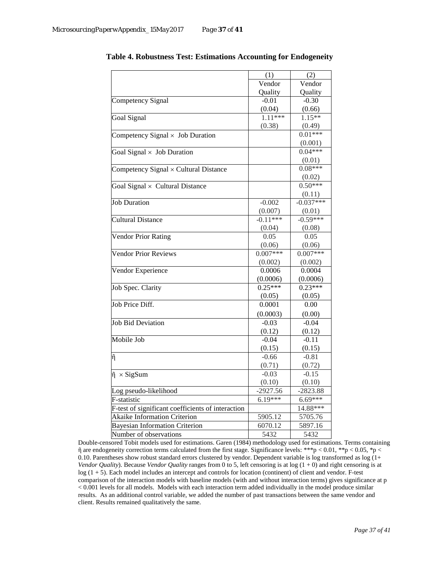|                                                   | (1)        | (2)         |
|---------------------------------------------------|------------|-------------|
|                                                   | Vendor     | Vendor      |
|                                                   | Quality    | Quality     |
| Competency Signal                                 | $-0.01$    | $-0.30$     |
|                                                   | (0.04)     | (0.66)      |
| Goal Signal                                       | $1.11***$  | $1.15**$    |
|                                                   | (0.38)     | (0.49)      |
| Competency Signal $\times$ Job Duration           |            | $0.01***$   |
|                                                   |            | (0.001)     |
| Goal Signal $\times$ Job Duration                 |            | $0.04***$   |
|                                                   |            | (0.01)      |
| Competency Signal $\times$ Cultural Distance      |            | $0.08***$   |
|                                                   |            | (0.02)      |
| Goal Signal $\times$ Cultural Distance            |            | $0.50***$   |
|                                                   |            | (0.11)      |
| <b>Job Duration</b>                               | $-0.002$   | $-0.037***$ |
|                                                   | (0.007)    | (0.01)      |
| <b>Cultural Distance</b>                          | $-0.11***$ | $-0.59***$  |
|                                                   | (0.04)     | (0.08)      |
| <b>Vendor Prior Rating</b>                        | 0.05       | 0.05        |
|                                                   | (0.06)     | (0.06)      |
| <b>Vendor Prior Reviews</b>                       | $0.007***$ | $0.007***$  |
|                                                   | (0.002)    | (0.002)     |
| Vendor Experience                                 | 0.0006     | 0.0004      |
|                                                   | (0.0006)   | (0.0006)    |
| Job Spec. Clarity                                 | $0.25***$  | $0.23***$   |
|                                                   | (0.05)     | (0.05)      |
| Job Price Diff.                                   | 0.0001     | 0.00        |
|                                                   | (0.0003)   | (0.00)      |
| <b>Job Bid Deviation</b>                          | $-0.03$    | $-0.04$     |
|                                                   | (0.12)     | (0.12)      |
| Mobile Job                                        | $-0.04$    | $-0.11$     |
|                                                   | (0.15)     | (0.15)      |
| $\tilde{\eta}$                                    | $-0.66$    | $-0.81$     |
|                                                   | (0.71)     | (0.72)      |
| $\tilde{\eta} \times$ SigSum                      | $-0.03$    | $-0.15$     |
|                                                   | (0.10)     | (0.10)      |
| Log pseudo-likelihood                             | $-2927.56$ | -2823.88    |
| F-statistic                                       | $6.19***$  | 6.69***     |
| F-test of significant coefficients of interaction |            | 14.88***    |
| Akaike Information Criterion                      | 5905.12    | 5705.76     |
| <b>Bayesian Information Criterion</b>             | 6070.12    | 5897.16     |
| Number of observations                            | 5432       | 5432        |

**Table 4. Robustness Test: Estimations Accounting for Endogeneity**

Double-censored Tobit models used for estimations. Garen (1984) methodology used for estimations. Terms containing  $\tilde{\eta}$  are endogeneity correction terms calculated from the first stage. Significance levels: \*\*\*p < 0.01, \*\*p < 0.05, \*p < 0.10. Parentheses show robust standard errors clustered by vendor. Dependent variable is log transformed as log (1+ *Vendor Quality*). Because *Vendor Quality* ranges from 0 to 5, left censoring is at log (1 + 0) and right censoring is at log (1 + 5). Each model includes an intercept and controls for location (continent) of client and vendor. F-test comparison of the interaction models with baseline models (with and without interaction terms) gives significance at p < 0.001 levels for all models. Models with each interaction term added individually in the model produce similar results. As an additional control variable, we added the number of past transactions between the same vendor and client. Results remained qualitatively the same.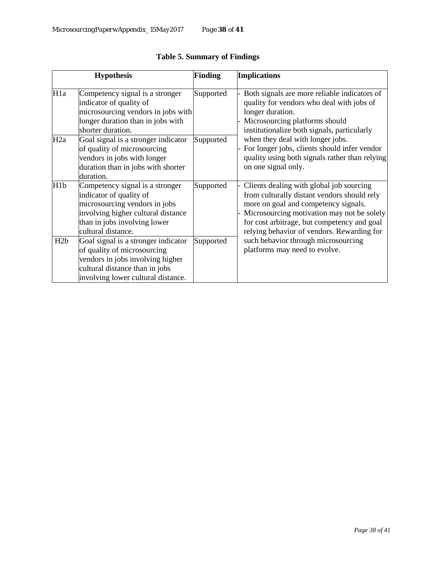|                  | <b>Hypothesis</b>                                                                                                                                                                       | <b>Finding</b> | <b>Implications</b>                                                                                                                                                                                                                                                        |  |  |  |
|------------------|-----------------------------------------------------------------------------------------------------------------------------------------------------------------------------------------|----------------|----------------------------------------------------------------------------------------------------------------------------------------------------------------------------------------------------------------------------------------------------------------------------|--|--|--|
| H <sub>1</sub> a | Competency signal is a stronger<br>indicator of quality of<br>microsourcing vendors in jobs with<br>longer duration than in jobs with<br>shorter duration.                              | Supported      | Both signals are more reliable indicators of<br>quality for vendors who deal with jobs of<br>longer duration.<br>Microsourcing platforms should<br>institutionalize both signals, particularly                                                                             |  |  |  |
| H2a              | Goal signal is a stronger indicator<br>of quality of microsourcing<br>vendors in jobs with longer<br>duration than in jobs with shorter<br>duration.                                    | Supported      | when they deal with longer jobs.<br>For longer jobs, clients should infer vendor<br>quality using both signals rather than relying<br>on one signal only.                                                                                                                  |  |  |  |
| H <sub>1</sub> b | Competency signal is a stronger<br>indicator of quality of<br>microsourcing vendors in jobs<br>involving higher cultural distance<br>than in jobs involving lower<br>cultural distance. | Supported      | Clients dealing with global job sourcing<br>from culturally distant vendors should rely<br>more on goal and competency signals.<br>Microsourcing motivation may not be solely<br>for cost arbitrage, but competency and goal<br>relying behavior of vendors. Rewarding for |  |  |  |
| H2b              | Goal signal is a stronger indicator<br>of quality of microsourcing<br>vendors in jobs involving higher<br>cultural distance than in jobs<br>involving lower cultural distance.          | Supported      | such behavior through microsourcing<br>platforms may need to evolve.                                                                                                                                                                                                       |  |  |  |

## **Table 5. Summary of Findings**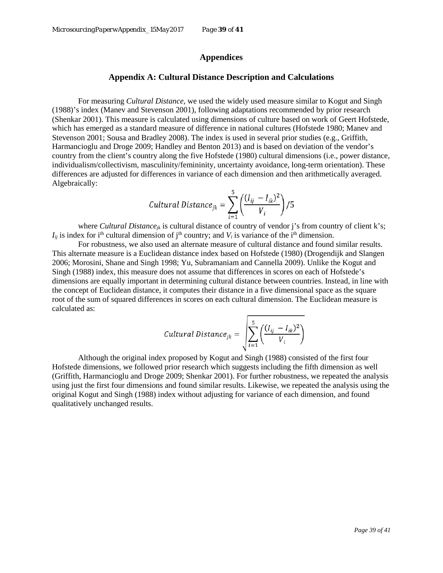## **Appendices**

### **Appendix A: Cultural Distance Description and Calculations**

For measuring *Cultural Distance,* we used the widely used measure similar to Kogut and Singh (1988)'s index (Manev and Stevenson 2001), following adaptations recommended by prior research (Shenkar 2001). This measure is calculated using dimensions of culture based on work of Geert Hofstede, which has emerged as a standard measure of difference in national cultures (Hofstede 1980; Manev and Stevenson 2001; Sousa and Bradley 2008). The index is used in several prior studies (e.g., Griffith, Harmancioglu and Droge 2009; Handley and Benton 2013) and is based on deviation of the vendor's country from the client's country along the five Hofstede (1980) cultural dimensions (i.e., power distance, individualism/collectivism, masculinity/femininity, uncertainty avoidance, long-term orientation). These differences are adjusted for differences in variance of each dimension and then arithmetically averaged. Algebraically:

$$
Cultural Distance_{jk} = \sum_{i=1}^{5} \left( \frac{(I_{ij} - I_{ik})^2}{V_i} \right) / 5
$$

where *Cultural Distance<sub>ik</sub>* is cultural distance of country of vendor j's from country of client k's;  $I_{ij}$  is index for i<sup>th</sup> cultural dimension of j<sup>th</sup> country; and  $V_i$  is variance of the i<sup>th</sup> dimension.

For robustness, we also used an alternate measure of cultural distance and found similar results. This alternate measure is a Euclidean distance index based on Hofstede (1980) (Drogendijk and Slangen 2006; Morosini, Shane and Singh 1998; Yu, Subramaniam and Cannella 2009). Unlike the Kogut and Singh (1988) index, this measure does not assume that differences in scores on each of Hofstede's dimensions are equally important in determining cultural distance between countries. Instead, in line with the concept of Euclidean distance, it computes their distance in a five dimensional space as the square root of the sum of squared differences in scores on each cultural dimension. The Euclidean measure is calculated as:

$$
Cultural Distance_{jk} = \sqrt{\sum_{i=1}^{5} \left( \frac{(I_{ij} - I_{ik})^2}{V_i} \right)}
$$

Although the original index proposed by Kogut and Singh (1988) consisted of the first four Hofstede dimensions, we followed prior research which suggests including the fifth dimension as well (Griffith, Harmancioglu and Droge 2009; Shenkar 2001). For further robustness, we repeated the analysis using just the first four dimensions and found similar results. Likewise, we repeated the analysis using the original Kogut and Singh (1988) index without adjusting for variance of each dimension, and found qualitatively unchanged results.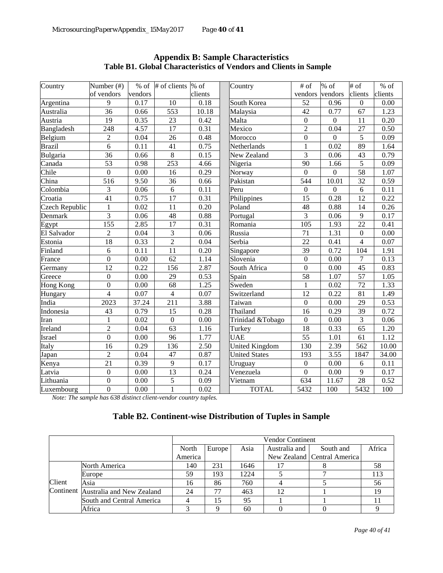| Country          | Number (#)       | $%$ of  | # of clients % of |         | Country               | # of             | % of             | $\overline{\text{#}}$ of | $%$ of  |
|------------------|------------------|---------|-------------------|---------|-----------------------|------------------|------------------|--------------------------|---------|
|                  | of vendors       | vendors |                   | clients |                       | vendors          | vendors          | clients                  | clients |
| Argentina        | 9                | 0.17    | 10                | 0.18    | South Korea           | 52               | 0.96             | $\boldsymbol{0}$         | 0.00    |
| Australia        | 36               | 0.66    | 553               | 10.18   | Malaysia              | 42               | 0.77             | 67                       | 1.23    |
| Austria          | 19               | 0.35    | 23                | 0.42    | Malta                 | $\mathbf{0}$     | $\overline{0}$   | 11                       | 0.20    |
| Bangladesh       | 248              | 4.57    | $\overline{17}$   | 0.31    | Mexico                | $\overline{2}$   | 0.04             | 27                       | 0.50    |
| Belgium          | $\overline{c}$   | 0.04    | 26                | 0.48    | Morocco               | $\boldsymbol{0}$ | $\overline{0}$   | 5                        | 0.09    |
| <b>Brazil</b>    | $\overline{6}$   | 0.11    | 41                | 0.75    | Netherlands           | $\mathbf{1}$     | 0.02             | 89                       | 1.64    |
| Bulgaria         | 36               | 0.66    | $\overline{8}$    | 0.15    | New Zealand           | $\overline{3}$   | 0.06             | 43                       | 0.79    |
| Canada           | $\overline{53}$  | 0.98    | $\overline{253}$  | 4.66    | Nigeria               | 90               | 1.66             | $\overline{5}$           | 0.09    |
| Chile            | $\overline{0}$   | 0.00    | 16                | 0.29    | Norway                | $\overline{0}$   | $\boldsymbol{0}$ | 58                       | 1.07    |
| China            | 516              | 9.50    | $\overline{36}$   | 0.66    | Pakistan              | 544              | 10.01            | 32                       | 0.59    |
| Colombia         | 3                | 0.06    | 6                 | 0.11    | Peru                  | $\mathbf{0}$     | $\overline{0}$   | 6                        | 0.11    |
| Croatia          | $\overline{41}$  | 0.75    | $\overline{17}$   | 0.31    | Philippines           | 15               | 0.28             | 12                       | 0.22    |
| Czech Republic   | $\mathbf{1}$     | 0.02    | 11                | 0.20    | Poland                | 48               | 0.88             | 14                       | 0.26    |
| Denmark          | $\overline{3}$   | 0.06    | 48                | 0.88    | Portugal              | $\overline{3}$   | 0.06             | 9                        | 0.17    |
| Egypt            | 155              | 2.85    | 17                | 0.31    | Romania               | 105              | 1.93             | 22                       | 0.41    |
| El Salvador      | $\overline{c}$   | 0.04    | $\overline{3}$    | 0.06    | Russia                | $\overline{71}$  | 1.31             | $\boldsymbol{0}$         | 0.00    |
| Estonia          | 18               | 0.33    | $\overline{2}$    | 0.04    | Serbia                | 22               | 0.41             | $\overline{4}$           | 0.07    |
| Finland          | 6                | 0.11    | 11                | 0.20    | Singapore             | 39               | 0.72             | 104                      | 1.91    |
| France           | $\overline{0}$   | 0.00    | 62                | 1.14    | Slovenia              | $\overline{0}$   | 0.00             | $\overline{7}$           | 0.13    |
| Germany          | $\overline{12}$  | 0.22    | 156               | 2.87    | South Africa          | $\overline{0}$   | 0.00             | 45                       | 0.83    |
| Greece           | $\boldsymbol{0}$ | 0.00    | 29                | 0.53    | Spain                 | $\overline{58}$  | 1.07             | 57                       | 1.05    |
| <b>Hong Kong</b> | $\overline{0}$   | 0.00    | $\overline{68}$   | 1.25    | Sweden                | $\mathbf{1}$     | 0.02             | 72                       | 1.33    |
| Hungary          | $\overline{4}$   | 0.07    | $\overline{4}$    | 0.07    | Switzerland           | $\overline{12}$  | 0.22             | 81                       | 1.49    |
| India            | 2023             | 37.24   | 211               | 3.88    | Taiwan                | $\mathbf{0}$     | 0.00             | 29                       | 0.53    |
| Indonesia        | 43               | 0.79    | 15                | 0.28    | Thailand              | 16               | 0.29             | 39                       | 0.72    |
| Iran             | $\mathbf{1}$     | 0.02    | $\boldsymbol{0}$  | 0.00    | Trinidad &Tobago      | $\boldsymbol{0}$ | 0.00             | 3                        | 0.06    |
| Ireland          | $\overline{2}$   | 0.04    | 63                | 1.16    | Turkey                | $\overline{18}$  | 0.33             | 65                       | 1.20    |
| Israel           | $\overline{0}$   | 0.00    | 96                | 1.77    | <b>UAE</b>            | 55               | 1.01             | 61                       | 1.12    |
| Italy            | 16               | 0.29    | 136               | 2.50    | <b>United Kingdom</b> | 130              | 2.39             | 562                      | 10.00   |
| Japan            | $\overline{2}$   | 0.04    | 47                | 0.87    | <b>United States</b>  | 193              | 3.55             | 1847                     | 34.00   |
| Kenya            | $\overline{21}$  | 0.39    | $\overline{9}$    | 0.17    | Uruguay               | $\overline{0}$   | 0.00             | 6                        | 0.11    |
| Latvia           | $\overline{0}$   | 0.00    | 13                | 0.24    | Venezuela             | $\overline{0}$   | 0.00             | 9                        | 0.17    |
| Lithuania        | $\boldsymbol{0}$ | 0.00    | 5                 | 0.09    | Vietnam               | 634              | 11.67            | 28                       | 0.52    |
| Luxembourg       | $\overline{0}$   | 0.00    | 1                 | 0.02    | <b>TOTAL</b>          | 5432             | 100              | 5432                     | 100     |

**Appendix B: Sample Characteristics Table B1. Global Characteristics of Vendors and Clients in Sample** 

*Note: The sample has 638 distinct client-vendor country tuples.*

## **Table B2. Continent-wise Distribution of Tuples in Sample**

|        |                                     | <b>Vendor Continent</b> |                     |      |               |                             |        |
|--------|-------------------------------------|-------------------------|---------------------|------|---------------|-----------------------------|--------|
|        |                                     | North                   | Europe <sup>1</sup> | Asia | Australia and | South and                   | Africa |
|        |                                     | America                 |                     |      |               | New Zealand Central America |        |
|        | North America                       | 140                     | 231                 | 1646 | 17            |                             | 58     |
|        | Europe                              | 59                      | 193                 | 1224 |               |                             |        |
| Client | Asia                                | 16                      | 86                  | 760  |               |                             | 56     |
|        | Continent Australia and New Zealand | 24                      | 77                  | 463  | 12            |                             | 19     |
|        | South and Central America           |                         | 15                  | 95   |               |                             |        |
|        | Africa                              |                         | Ω                   | 60   |               |                             |        |